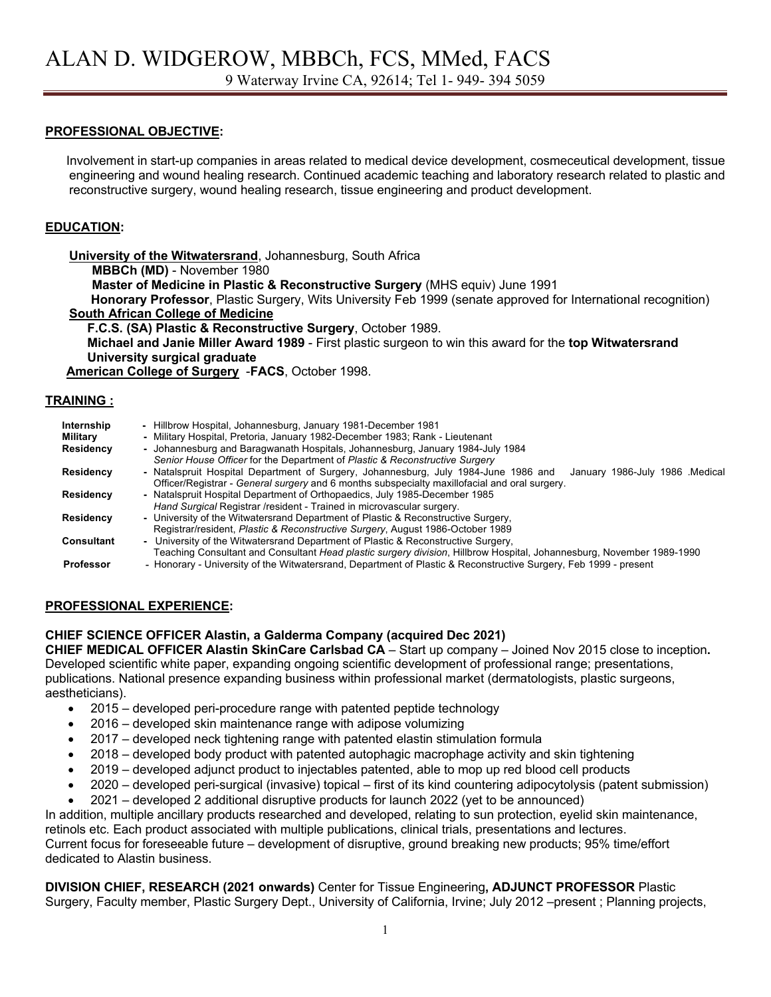#### **PROFESSIONAL OBJECTIVE:**

 Involvement in start-up companies in areas related to medical device development, cosmeceutical development, tissue engineering and wound healing research. Continued academic teaching and laboratory research related to plastic and reconstructive surgery, wound healing research, tissue engineering and product development.

#### **EDUCATION:**

**University of the Witwatersrand**, Johannesburg, South Africa **MBBCh (MD)** - November 1980 **Master of Medicine in Plastic & Reconstructive Surgery** (MHS equiv) June 1991 **Honorary Professor**, Plastic Surgery, Wits University Feb 1999 (senate approved for International recognition) **South African College of Medicine**

 **F.C.S. (SA) Plastic & Reconstructive Surgery**, October 1989.

 **Michael and Janie Miller Award 1989** - First plastic surgeon to win this award for the **top Witwatersrand University surgical graduate**

**American College of Surgery** -**FACS**, October 1998.

#### **TRAINING :**

| Internship<br>Military | - Hillbrow Hospital, Johannesburg, January 1981-December 1981<br>- Military Hospital, Pretoria, January 1982-December 1983; Rank - Lieutenant                                                                          |
|------------------------|------------------------------------------------------------------------------------------------------------------------------------------------------------------------------------------------------------------------|
| Residency              | - Johannesburg and Baragwanath Hospitals, Johannesburg, January 1984-July 1984<br>Senior House Officer for the Department of Plastic & Reconstructive Surgery                                                          |
| Residency              | - Natalspruit Hospital Department of Surgery, Johannesburg, July 1984-June 1986 and<br>January 1986-July 1986 Medical<br>Officer/Registrar - General surgery and 6 months subspecialty maxillofacial and oral surgery. |
| Residency              | - Natalspruit Hospital Department of Orthopaedics, July 1985-December 1985<br>Hand Surgical Registrar /resident - Trained in microvascular surgery.                                                                    |
| Residency              | - University of the Witwatersrand Department of Plastic & Reconstructive Surgery,<br>Registrar/resident, <i>Plastic &amp; Reconstructive Surgery</i> , August 1986-October 1989                                        |
| Consultant             | - University of the Witwatersrand Department of Plastic & Reconstructive Surgery,<br>Teaching Consultant and Consultant Head plastic surgery division, Hillbrow Hospital, Johannesburg, November 1989-1990             |
| <b>Professor</b>       | - Honorary - University of the Witwatersrand, Department of Plastic & Reconstructive Surgery, Feb 1999 - present                                                                                                       |

### **PROFESSIONAL EXPERIENCE:**

#### **CHIEF SCIENCE OFFICER Alastin, a Galderma Company (acquired Dec 2021)**

**CHIEF MEDICAL OFFICER Alastin SkinCare Carlsbad CA** – Start up company – Joined Nov 2015 close to inception**.** Developed scientific white paper, expanding ongoing scientific development of professional range; presentations, publications. National presence expanding business within professional market (dermatologists, plastic surgeons, aestheticians).

- 2015 developed peri-procedure range with patented peptide technology
- 2016 developed skin maintenance range with adipose volumizing
- 2017 developed neck tightening range with patented elastin stimulation formula
- 2018 developed body product with patented autophagic macrophage activity and skin tightening
- 2019 developed adjunct product to injectables patented, able to mop up red blood cell products
- 2020 developed peri-surgical (invasive) topical first of its kind countering adipocytolysis (patent submission)
- 2021 developed 2 additional disruptive products for launch 2022 (yet to be announced)

In addition, multiple ancillary products researched and developed, relating to sun protection, eyelid skin maintenance, retinols etc. Each product associated with multiple publications, clinical trials, presentations and lectures. Current focus for foreseeable future – development of disruptive, ground breaking new products; 95% time/effort dedicated to Alastin business.

# **DIVISION CHIEF, RESEARCH (2021 onwards)** Center for Tissue Engineering**, ADJUNCT PROFESSOR** Plastic

Surgery, Faculty member, Plastic Surgery Dept., University of California, Irvine; July 2012 –present ; Planning projects,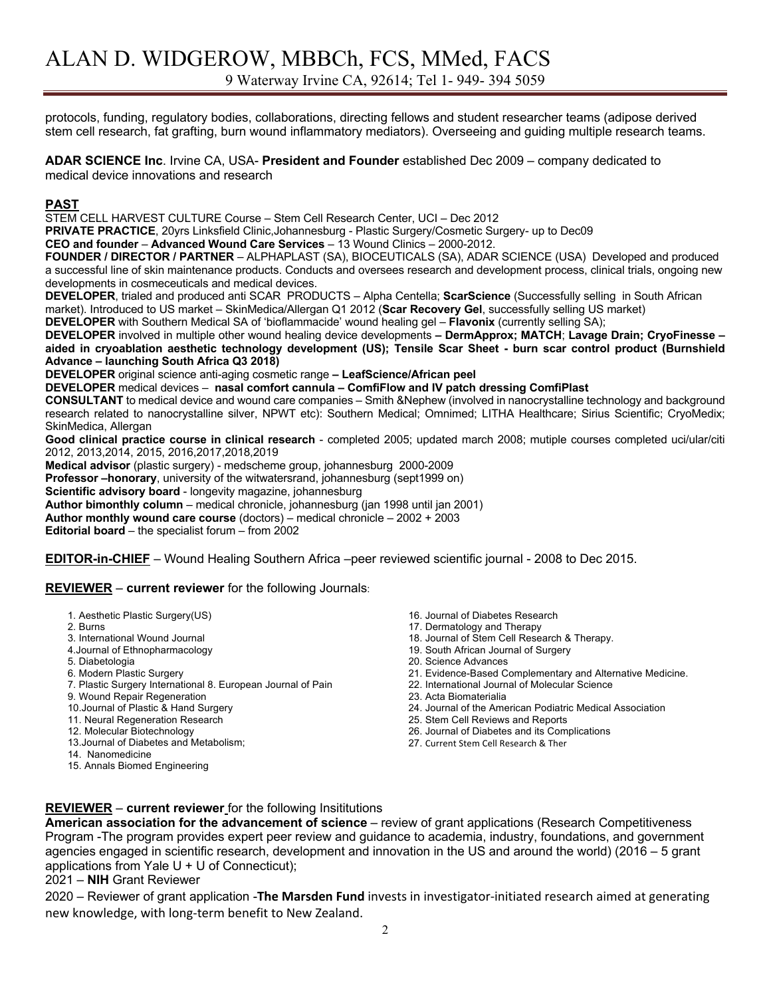9 Waterway Irvine CA, 92614; Tel 1- 949- 394 5059

protocols, funding, regulatory bodies, collaborations, directing fellows and student researcher teams (adipose derived stem cell research, fat grafting, burn wound inflammatory mediators). Overseeing and guiding multiple research teams.

**ADAR SCIENCE Inc**. Irvine CA, USA- **President and Founder** established Dec 2009 – company dedicated to medical device innovations and research

#### **PAST**

STEM CELL HARVEST CULTURE Course – Stem Cell Research Center, UCI – Dec 2012

**PRIVATE PRACTICE**, 20yrs Linksfield Clinic,Johannesburg - Plastic Surgery/Cosmetic Surgery- up to Dec09

**CEO and founder** – **Advanced Wound Care Services** – 13 Wound Clinics – 2000-2012.

**FOUNDER / DIRECTOR / PARTNER** – ALPHAPLAST (SA), BIOCEUTICALS (SA), ADAR SCIENCE (USA) Developed and produced a successful line of skin maintenance products. Conducts and oversees research and development process, clinical trials, ongoing new developments in cosmeceuticals and medical devices.

**DEVELOPER**, trialed and produced anti SCAR PRODUCTS – Alpha Centella; **ScarScience** (Successfully selling in South African market). Introduced to US market – SkinMedica/Allergan Q1 2012 (**Scar Recovery Gel**, successfully selling US market)

**DEVELOPER** with Southern Medical SA of 'bioflammacide' wound healing gel – **Flavonix** (currently selling SA);

**DEVELOPER** involved in multiple other wound healing device developments **– DermApprox; MATCH**; **Lavage Drain; CryoFinesse – aided in cryoablation aesthetic technology development (US); Tensile Scar Sheet - burn scar control product (Burnshield Advance – launching South Africa Q3 2018)**

**DEVELOPER** original science anti-aging cosmetic range **– LeafScience/African peel**

**DEVELOPER** medical devices – **nasal comfort cannula – ComfiFlow and IV patch dressing ComfiPlast**

**CONSULTANT** to medical device and wound care companies – Smith &Nephew (involved in nanocrystalline technology and background research related to nanocrystalline silver, NPWT etc): Southern Medical; Omnimed; LITHA Healthcare; Sirius Scientific; CryoMedix; SkinMedica, Allergan

**Good clinical practice course in clinical research** - completed 2005; updated march 2008; mutiple courses completed uci/ular/citi 2012, 2013,2014, 2015, 2016,2017,2018,2019

**Medical advisor** (plastic surgery) - medscheme group, johannesburg 2000-2009

**Professor –honorary**, university of the witwatersrand, johannesburg (sept1999 on)

**Scientific advisory board** - longevity magazine, johannesburg

**Author bimonthly column** – medical chronicle, johannesburg (jan 1998 until jan 2001)

**Author monthly wound care course** (doctors) – medical chronicle – 2002 + 2003

**Editorial board** – the specialist forum – from 2002

**EDITOR-in-CHIEF** – Wound Healing Southern Africa –peer reviewed scientific journal - 2008 to Dec 2015.

#### **REVIEWER** – **current reviewer** for the following Journals:

- 1. Aesthetic Plastic Surgery(US)
- 2. Burns
- 3. International Wound Journal
- 4.Journal of Ethnopharmacology
- 5. Diabetologia
- 6. Modern Plastic Surgery
- 7. Plastic Surgery International 8. European Journal of Pain
- 9. Wound Repair Regeneration
- 10.Journal of Plastic & Hand Surgery
- 11. Neural Regeneration Research
- 12. Molecular Biotechnology
- 13.Journal of Diabetes and Metabolism;
- 14. Nanomedicine
- 15. Annals Biomed Engineering
- 16. Journal of Diabetes Research
- 17. Dermatology and Therapy
- 18. Journal of Stem Cell Research & Therapy.
- 19. South African Journal of Surgery
- 20. Science Advances
- 21. Evidence-Based Complementary and Alternative Medicine.
- 22. International Journal of Molecular Science
- 23. Acta Biomaterialia
- 24. Journal of the American Podiatric Medical Association
- 25. Stem Cell Reviews and Reports
- 26. Journal of Diabetes and its Complications
- 27. Current Stem Cell Research & Ther

#### **REVIEWER** – **current reviewer** for the following Insititutions

**American association for the advancement of science** – review of grant applications (Research Competitiveness Program -The program provides expert peer review and guidance to academia, industry, foundations, and government agencies engaged in scientific research, development and innovation in the US and around the world) (2016 – 5 grant applications from Yale U + U of Connecticut);

2021 – **NIH** Grant Reviewer

2020 – Reviewer of grant application -**The Marsden Fund** invests in investigator-initiated research aimed at generating new knowledge, with long-term benefit to New Zealand.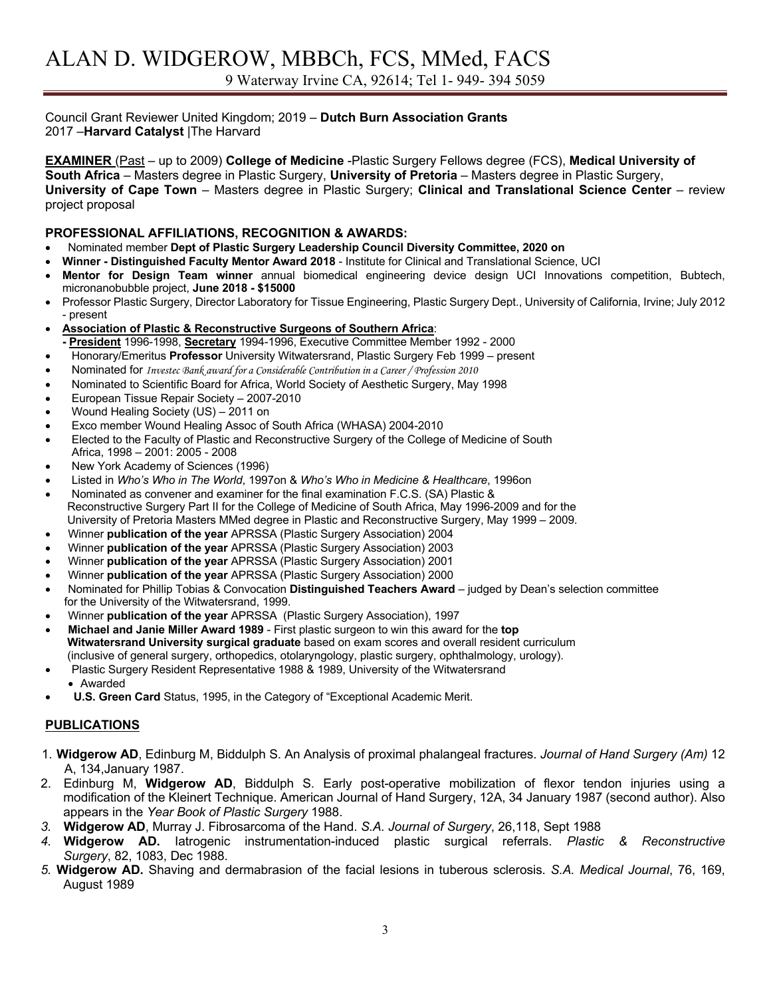Council Grant Reviewer United Kingdom; 2019 – **Dutch Burn Association Grants** 2017 –**Harvard Catalyst** |The Harvard

**EXAMINER** (Past – up to 2009) **College of Medicine** -Plastic Surgery Fellows degree (FCS), **Medical University of South Africa** – Masters degree in Plastic Surgery, **University of Pretoria** – Masters degree in Plastic Surgery, **University of Cape Town** – Masters degree in Plastic Surgery; **Clinical and Translational Science Center** – review project proposal

#### **PROFESSIONAL AFFILIATIONS, RECOGNITION & AWARDS:**

- Nominated member **Dept of Plastic Surgery Leadership Council Diversity Committee, 2020 on**
- **Winner - Distinguished Faculty Mentor Award 2018**  Institute for Clinical and Translational Science, UCI
- **Mentor for Design Team winner** annual biomedical engineering device design UCI Innovations competition, Bubtech, micronanobubble project, **June 2018 - \$15000**
- Professor Plastic Surgery, Director Laboratory for Tissue Engineering, Plastic Surgery Dept., University of California, Irvine; July 2012 - present
- **Association of Plastic & Reconstructive Surgeons of Southern Africa**: **- President** 1996-1998, **Secretary** 1994-1996, Executive Committee Member 1992 - 2000
- Honorary/Emeritus **Professor** University Witwatersrand, Plastic Surgery Feb 1999 present
- Nominated for *Investec Bank award for a Considerable Contribution in a Career / Profession 2010*
- Nominated to Scientific Board for Africa, World Society of Aesthetic Surgery, May 1998
- European Tissue Repair Society 2007-2010
- Wound Healing Society (US) 2011 on
- Exco member Wound Healing Assoc of South Africa (WHASA) 2004-2010
- Elected to the Faculty of Plastic and Reconstructive Surgery of the College of Medicine of South Africa, 1998 – 2001: 2005 - 2008
- New York Academy of Sciences (1996)
- Listed in *Who's Who in The World*, 1997on & *Who's Who in Medicine & Healthcare*, 1996on
- Nominated as convener and examiner for the final examination F.C.S. (SA) Plastic & Reconstructive Surgery Part II for the College of Medicine of South Africa, May 1996-2009 and for the University of Pretoria Masters MMed degree in Plastic and Reconstructive Surgery, May 1999 – 2009.
- Winner **publication of the year** APRSSA (Plastic Surgery Association) 2004
- Winner **publication of the year** APRSSA (Plastic Surgery Association) 2003
- Winner **publication of the year** APRSSA (Plastic Surgery Association) 2001
- Winner **publication of the year** APRSSA (Plastic Surgery Association) 2000
- Nominated for Phillip Tobias & Convocation **Distinguished Teachers Award** judged by Dean's selection committee for the University of the Witwatersrand, 1999.
- Winner **publication of the year** APRSSA (Plastic Surgery Association), 1997
- **Michael and Janie Miller Award 1989** First plastic surgeon to win this award for the **top Witwatersrand University surgical graduate** based on exam scores and overall resident curriculum (inclusive of general surgery, orthopedics, otolaryngology, plastic surgery, ophthalmology, urology).
- Plastic Surgery Resident Representative 1988 & 1989, University of the Witwatersrand • Awarded
- **U.S. Green Card** Status, 1995, in the Category of "Exceptional Academic Merit.

### **PUBLICATIONS**

- 1. **Widgerow AD**, Edinburg M, Biddulph S. An Analysis of proximal phalangeal fractures. *Journal of Hand Surgery (Am)* 12 A, 134,January 1987.
- 2. Edinburg M, **Widgerow AD**, Biddulph S. Early post-operative mobilization of flexor tendon injuries using a modification of the Kleinert Technique. American Journal of Hand Surgery, 12A, 34 January 1987 (second author). Also appears in the *Year Book of Plastic Surgery* 1988.
- *3.* **Widgerow AD**, Murray J. Fibrosarcoma of the Hand. *S.A. Journal of Surgery*, 26,118, Sept 1988
- *4.* **Widgerow AD.** Iatrogenic instrumentation-induced plastic surgical referrals. *Plastic & Reconstructive Surgery*, 82, 1083, Dec 1988.
- *5.* **Widgerow AD.** Shaving and dermabrasion of the facial lesions in tuberous sclerosis. *S.A. Medical Journal*, 76, 169, August 1989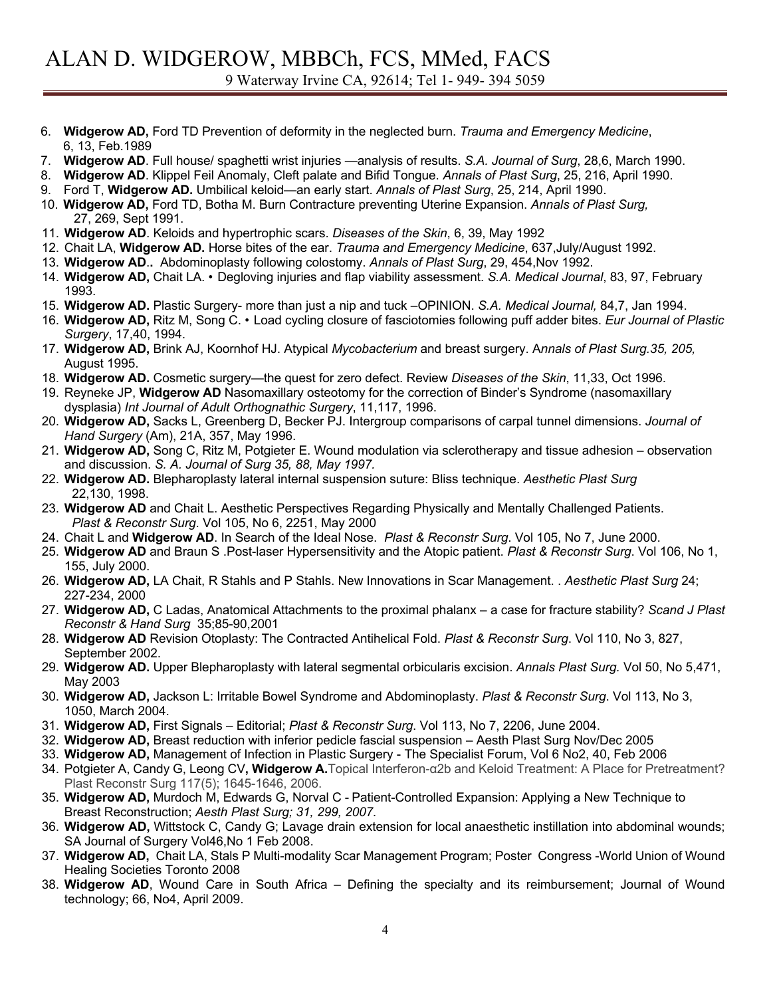- 6. **Widgerow AD,** Ford TD Prevention of deformity in the neglected burn. *Trauma and Emergency Medicine*, 6, 13, Feb.1989
- 7. **Widgerow AD**. Full house/ spaghetti wrist injuries —analysis of results. *S.A. Journal of Surg*, 28,6, March 1990.
- 8. **Widgerow AD**. Klippel Feil Anomaly, Cleft palate and Bifid Tongue. *Annals of Plast Surg*, 25, 216, April 1990.
- 9. Ford T, **Widgerow AD.** Umbilical keloid—an early start. *Annals of Plast Surg*, 25, 214, April 1990.
- 10. **Widgerow AD,** Ford TD, Botha M. Burn Contracture preventing Uterine Expansion. *Annals of Plast Surg,* 27, 269, Sept 1991.
- 11. **Widgerow AD**. Keloids and hypertrophic scars. *Diseases of the Skin*, 6, 39, May 1992
- 12. Chait LA, **Widgerow AD.** Horse bites of the ear. *Trauma and Emergency Medicine*, 637,July/August 1992.
- 13. **Widgerow AD**.**.** Abdominoplasty following colostomy. *Annals of Plast Surg*, 29, 454,Nov 1992.
- 14. **Widgerow AD,** Chait LA. Degloving injuries and flap viability assessment. *S.A. Medical Journal*, 83, 97, February 1993.
- 15. **Widgerow AD.** Plastic Surgery- more than just a nip and tuck –OPINION. *S.A. Medical Journal,* 84,7, Jan 1994.
- 16. **Widgerow AD,** Ritz M, Song C. Load cycling closure of fasciotomies following puff adder bites. *Eur Journal of Plastic Surgery*, 17,40, 1994.
- 17. **Widgerow AD,** Brink AJ, Koornhof HJ. Atypical *Mycobacterium* and breast surgery. A*nnals of Plast Surg.35, 205,*  August 1995.
- 18. **Widgerow AD.** Cosmetic surgery—the quest for zero defect. Review *Diseases of the Skin*, 11,33, Oct 1996.
- 19. Reyneke JP, **Widgerow AD** Nasomaxillary osteotomy for the correction of Binder's Syndrome (nasomaxillary dysplasia) *Int Journal of Adult Orthognathic Surgery*, 11,117, 1996.
- 20. **Widgerow AD,** Sacks L, Greenberg D, Becker PJ. Intergroup comparisons of carpal tunnel dimensions. *Journal of Hand Surgery* (Am), 21A, 357, May 1996.
- 21. **Widgerow AD,** Song C, Ritz M, Potgieter E. Wound modulation via sclerotherapy and tissue adhesion observation and discussion. *S. A. Journal of Surg 35, 88, May 1997.*
- 22. **Widgerow AD.** Blepharoplasty lateral internal suspension suture: Bliss technique. *Aesthetic Plast Surg*  22,130, 1998.
- 23. **Widgerow AD** and Chait L. Aesthetic Perspectives Regarding Physically and Mentally Challenged Patients. *Plast & Reconstr Surg*. Vol 105, No 6, 2251, May 2000
- 24. Chait L and **Widgerow AD**. In Search of the Ideal Nose. *Plast & Reconstr Surg*. Vol 105, No 7, June 2000.
- 25. **Widgerow AD** and Braun S .Post-laser Hypersensitivity and the Atopic patient. *Plast & Reconstr Surg*. Vol 106, No 1, 155, July 2000.
- 26. **Widgerow AD,** LA Chait, R Stahls and P Stahls. New Innovations in Scar Management. . *Aesthetic Plast Surg* 24; 227-234, 2000
- 27. **Widgerow AD,** C Ladas, Anatomical Attachments to the proximal phalanx a case for fracture stability? *Scand J Plast Reconstr & Hand Surg* 35;85-90,2001
- 28. **Widgerow AD** Revision Otoplasty: The Contracted Antihelical Fold. *Plast & Reconstr Surg*. Vol 110, No 3, 827, September 2002.
- 29. **Widgerow AD.** Upper Blepharoplasty with lateral segmental orbicularis excision. *Annals Plast Surg.* Vol 50, No 5,471, May 2003
- 30. **Widgerow AD,** Jackson L: Irritable Bowel Syndrome and Abdominoplasty. *Plast & Reconstr Surg*. Vol 113, No 3, 1050, March 2004.
- 31. **Widgerow AD,** First Signals Editorial; *Plast & Reconstr Surg*. Vol 113, No 7, 2206, June 2004.
- 32. **Widgerow AD,** Breast reduction with inferior pedicle fascial suspension Aesth Plast Surg Nov/Dec 2005
- 33. **Widgerow AD,** Management of Infection in Plastic Surgery The Specialist Forum, Vol 6 No2, 40, Feb 2006
- 34. Potgieter A, Candy G, Leong CV**, Widgerow A.**Topical Interferon-α2b and Keloid Treatment: A Place for Pretreatment? Plast Reconstr Surg 117(5); 1645-1646, 2006.
- 35. **Widgerow AD,** Murdoch M, Edwards G, Norval C Patient-Controlled Expansion: Applying a New Technique to Breast Reconstruction; *Aesth Plast Surg; 31, 299, 2007.*
- 36. **Widgerow AD,** Wittstock C, Candy G; Lavage drain extension for local anaesthetic instillation into abdominal wounds; SA Journal of Surgery Vol46,No 1 Feb 2008.
- 37. **Widgerow AD,** Chait LA, Stals P Multi-modality Scar Management Program; Poster Congress -World Union of Wound Healing Societies Toronto 2008
- 38. **Widgerow AD**, Wound Care in South Africa Defining the specialty and its reimbursement; Journal of Wound technology; 66, No4, April 2009.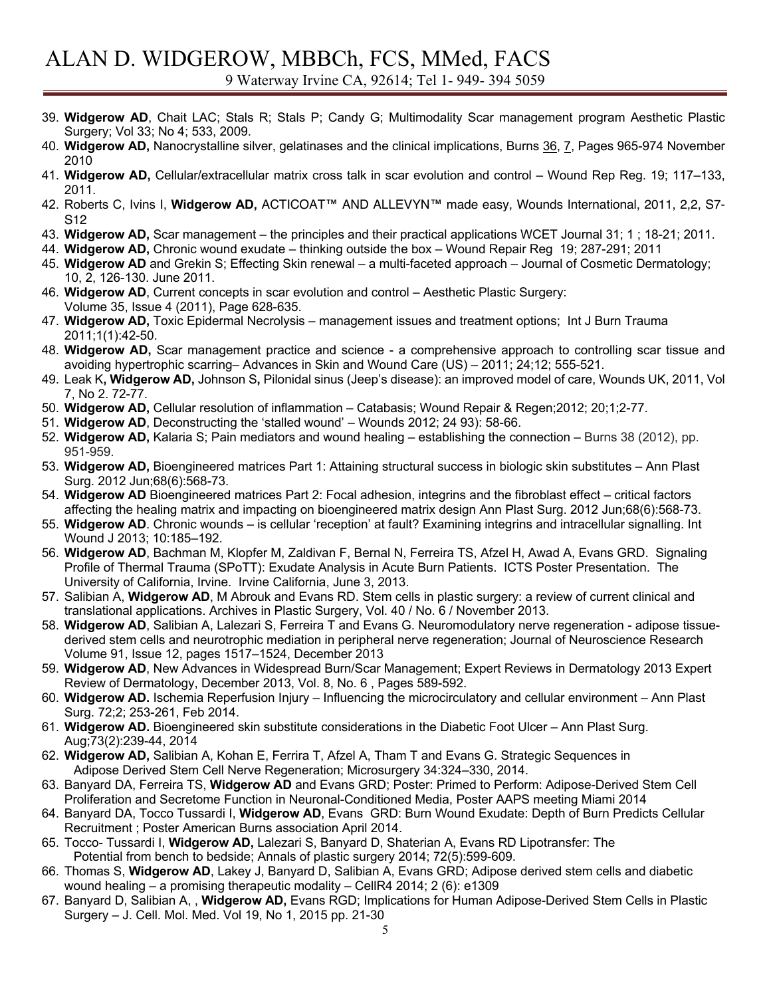- 39. **Widgerow AD**, Chait LAC; Stals R; Stals P; Candy G; Multimodality Scar management program Aesthetic Plastic Surgery; Vol 33; No 4; 533, 2009.
- 40. **Widgerow AD,** Nanocrystalline silver, gelatinases and the clinical implications, Burns 36, 7, Pages 965-974 November 2010
- 41. **Widgerow AD,** Cellular/extracellular matrix cross talk in scar evolution and control Wound Rep Reg. 19; 117–133, 2011.
- 42. Roberts C, Ivins I, **Widgerow AD,** ACTICOAT™ AND ALLEVYN™ made easy, Wounds International, 2011, 2,2, S7- S12
- 43. **Widgerow AD,** Scar management the principles and their practical applications WCET Journal 31; 1 ; 18-21; 2011.
- 44. **Widgerow AD,** Chronic wound exudate thinking outside the box Wound Repair Reg 19; 287-291; 2011
- 45. **Widgerow AD** and Grekin S; Effecting Skin renewal a multi-faceted approach Journal of Cosmetic Dermatology; 10, 2, 126-130. June 2011.
- 46. **Widgerow AD**, Current concepts in scar evolution and control Aesthetic Plastic Surgery: Volume 35, Issue 4 (2011), Page 628-635.
- 47. **Widgerow AD,** Toxic Epidermal Necrolysis management issues and treatment options; Int J Burn Trauma 2011;1(1):42-50.
- 48. **Widgerow AD,** Scar management practice and science a comprehensive approach to controlling scar tissue and avoiding hypertrophic scarring– Advances in Skin and Wound Care (US) – 2011; 24;12; 555-521.
- 49. Leak K**, Widgerow AD,** Johnson S**,** Pilonidal sinus (Jeep's disease): an improved model of care, Wounds UK, 2011, Vol 7, No 2. 72-77.
- 50. **Widgerow AD,** Cellular resolution of inflammation Catabasis; Wound Repair & Regen;2012; 20;1;2-77.
- 51. **Widgerow AD**, Deconstructing the 'stalled wound' Wounds 2012; 24 93): 58-66.
- 52. **Widgerow AD,** Kalaria S; Pain mediators and wound healing establishing the connection Burns 38 (2012), pp. 951-959.
- 53. **Widgerow AD,** Bioengineered matrices Part 1: Attaining structural success in biologic skin substitutes Ann Plast Surg. 2012 Jun;68(6):568-73.
- 54. **Widgerow AD** Bioengineered matrices Part 2: Focal adhesion, integrins and the fibroblast effect critical factors affecting the healing matrix and impacting on bioengineered matrix design Ann Plast Surg. 2012 Jun;68(6):568-73.
- 55. **Widgerow AD**. Chronic wounds is cellular 'reception' at fault? Examining integrins and intracellular signalling. Int Wound J 2013; 10:185–192.
- 56. **Widgerow AD**, Bachman M, Klopfer M, Zaldivan F, Bernal N, Ferreira TS, Afzel H, Awad A, Evans GRD. Signaling Profile of Thermal Trauma (SPoTT): Exudate Analysis in Acute Burn Patients. ICTS Poster Presentation. The University of California, Irvine. Irvine California, June 3, 2013.
- 57. Salibian A, **Widgerow AD**, M Abrouk and Evans RD. Stem cells in plastic surgery: a review of current clinical and translational applications. Archives in Plastic Surgery, Vol. 40 / No. 6 / November 2013.
- 58. **Widgerow AD**, Salibian A, Lalezari S, Ferreira T and Evans G. Neuromodulatory nerve regeneration adipose tissuederived stem cells and neurotrophic mediation in peripheral nerve regeneration; Journal of Neuroscience Research Volume 91, Issue 12, pages 1517–1524, December 2013
- 59. **Widgerow AD**, New Advances in Widespread Burn/Scar Management; Expert Reviews in Dermatology 2013 Expert Review of Dermatology, December 2013, Vol. 8, No. 6 , Pages 589-592.
- 60. **Widgerow AD.** Ischemia Reperfusion Injury Influencing the microcirculatory and cellular environment Ann Plast Surg. 72;2; 253-261, Feb 2014.
- 61. **Widgerow AD.** Bioengineered skin substitute considerations in the Diabetic Foot Ulcer Ann Plast Surg. Aug;73(2):239-44, 2014
- 62. **Widgerow AD,** Salibian A, Kohan E, Ferrira T, Afzel A, Tham T and Evans G. Strategic Sequences in Adipose Derived Stem Cell Nerve Regeneration; Microsurgery 34:324–330, 2014.
- 63. Banyard DA, Ferreira TS, **Widgerow AD** and Evans GRD; Poster: Primed to Perform: Adipose-Derived Stem Cell Proliferation and Secretome Function in Neuronal-Conditioned Media, Poster AAPS meeting Miami 2014
- 64. Banyard DA, Tocco Tussardi I, **Widgerow AD**, Evans GRD: Burn Wound Exudate: Depth of Burn Predicts Cellular Recruitment ; Poster American Burns association April 2014.
- 65. Tocco- Tussardi I, **Widgerow AD,** Lalezari S, Banyard D, Shaterian A, Evans RD Lipotransfer: The Potential from bench to bedside; Annals of plastic surgery 2014; 72(5):599-609.
- 66. Thomas S, **Widgerow AD**, Lakey J, Banyard D, Salibian A, Evans GRD; Adipose derived stem cells and diabetic wound healing – a promising therapeutic modality – CellR4 2014; 2 (6): e1309
- 67. Banyard D, Salibian A, , **Widgerow AD,** Evans RGD; Implications for Human Adipose-Derived Stem Cells in Plastic Surgery – J. Cell. Mol. Med. Vol 19, No 1, 2015 pp. 21-30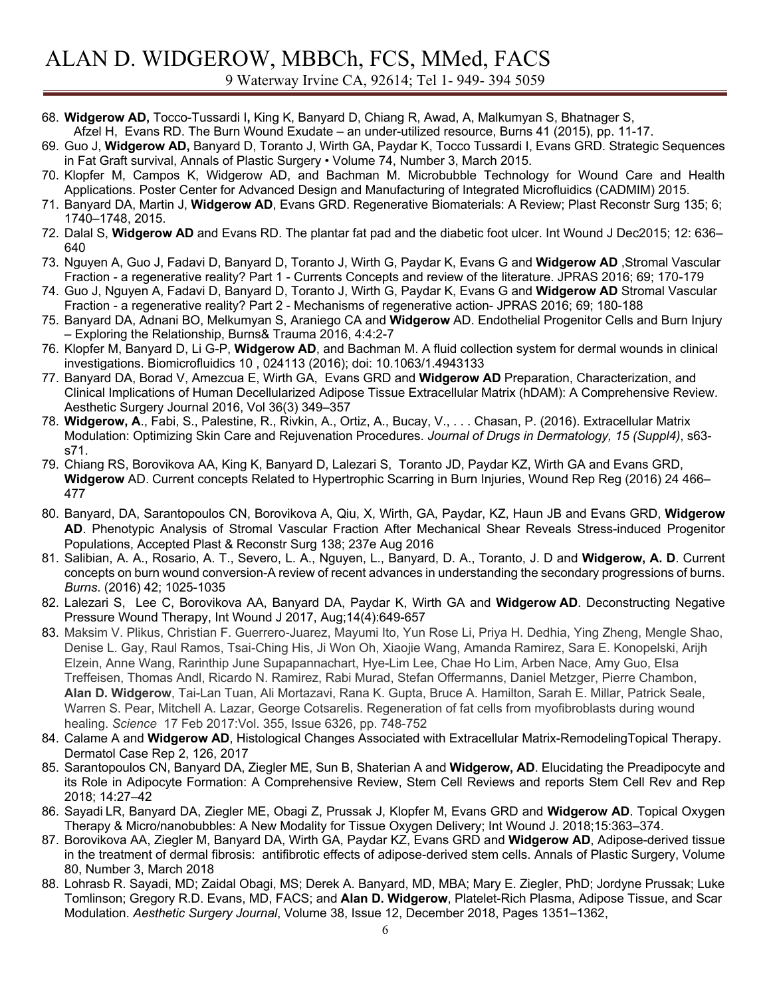- 68. **Widgerow AD,** Tocco-Tussardi I**,** King K, Banyard D, Chiang R, Awad, A, Malkumyan S, Bhatnager S,
- Afzel H, Evans RD. The Burn Wound Exudate an under-utilized resource, Burns 41 (2015), pp. 11-17.
- 69. Guo J, **Widgerow AD,** Banyard D, Toranto J, Wirth GA, Paydar K, Tocco Tussardi I, Evans GRD. Strategic Sequences in Fat Graft survival, Annals of Plastic Surgery • Volume 74, Number 3, March 2015.
- 70. Klopfer M, Campos K, Widgerow AD, and Bachman M. Microbubble Technology for Wound Care and Health Applications. Poster Center for Advanced Design and Manufacturing of Integrated Microfluidics (CADMIM) 2015.
- 71. Banyard DA, Martin J, **Widgerow AD**, Evans GRD. Regenerative Biomaterials: A Review; Plast Reconstr Surg 135; 6; 1740–1748, 2015.
- 72. Dalal S, **Widgerow AD** and Evans RD. The plantar fat pad and the diabetic foot ulcer. Int Wound J Dec2015; 12: 636– 640
- 73. Nguyen A, Guo J, Fadavi D, Banyard D, Toranto J, Wirth G, Paydar K, Evans G and **Widgerow AD** ,Stromal Vascular Fraction - a regenerative reality? Part 1 - Currents Concepts and review of the literature. JPRAS 2016; 69; 170-179
- 74. Guo J, Nguyen A, Fadavi D, Banyard D, Toranto J, Wirth G, Paydar K, Evans G and **Widgerow AD** Stromal Vascular Fraction - a regenerative reality? Part 2 - Mechanisms of regenerative action- JPRAS 2016; 69; 180-188
- 75. Banyard DA, Adnani BO, Melkumyan S, Araniego CA and **Widgerow** AD. Endothelial Progenitor Cells and Burn Injury – Exploring the Relationship, Burns& Trauma 2016, 4:4:2-7
- 76. Klopfer M, Banyard D, Li G-P, **Widgerow AD**, and Bachman M. A fluid collection system for dermal wounds in clinical investigations. Biomicrofluidics 10 , 024113 (2016); doi: 10.1063/1.4943133
- 77. Banyard DA, Borad V, Amezcua E, Wirth GA, Evans GRD and **Widgerow AD** Preparation, Characterization, and Clinical Implications of Human Decellularized Adipose Tissue Extracellular Matrix (hDAM): A Comprehensive Review. Aesthetic Surgery Journal 2016, Vol 36(3) 349–357
- 78. **Widgerow, A**., Fabi, S., Palestine, R., Rivkin, A., Ortiz, A., Bucay, V., . . . Chasan, P. (2016). Extracellular Matrix Modulation: Optimizing Skin Care and Rejuvenation Procedures. *Journal of Drugs in Dermatology, 15 (Suppl4)*, s63 s71.
- 79. Chiang RS, Borovikova AA, King K, Banyard D, Lalezari S, Toranto JD, Paydar KZ, Wirth GA and Evans GRD, **Widgerow** AD. Current concepts Related to Hypertrophic Scarring in Burn Injuries, Wound Rep Reg (2016) 24 466– 477
- 80. Banyard, DA, Sarantopoulos CN, Borovikova A, Qiu, X, Wirth, GA, Paydar, KZ, Haun JB and Evans GRD, **Widgerow AD**. Phenotypic Analysis of Stromal Vascular Fraction After Mechanical Shear Reveals Stress-induced Progenitor Populations, Accepted Plast & Reconstr Surg 138; 237e Aug 2016
- 81. Salibian, A. A., Rosario, A. T., Severo, L. A., Nguyen, L., Banyard, D. A., Toranto, J. D and **Widgerow, A. D**. Current concepts on burn wound conversion-A review of recent advances in understanding the secondary progressions of burns. *Burns*. (2016) 42; 1025-1035
- 82. Lalezari S, Lee C, Borovikova AA, Banyard DA, Paydar K, Wirth GA and **Widgerow AD**. Deconstructing Negative Pressure Wound Therapy, Int Wound J 2017, Aug;14(4):649-657
- 83. Maksim V. Plikus, Christian F. Guerrero-Juarez, Mayumi Ito, Yun Rose Li, Priya H. Dedhia, Ying Zheng, Mengle Shao, Denise L. Gay, Raul Ramos, Tsai-Ching His, Ji Won Oh, Xiaojie Wang, Amanda Ramirez, Sara E. Konopelski, Arijh Elzein, Anne Wang, Rarinthip June Supapannachart, Hye-Lim Lee, Chae Ho Lim, Arben Nace, Amy Guo, Elsa Treffeisen, Thomas Andl, Ricardo N. Ramirez, Rabi Murad, Stefan Offermanns, Daniel Metzger, Pierre Chambon, **Alan D. Widgerow**, Tai-Lan Tuan, Ali Mortazavi, Rana K. Gupta, Bruce A. Hamilton, Sarah E. Millar, Patrick Seale, Warren S. Pear, Mitchell A. Lazar, George Cotsarelis. Regeneration of fat cells from myofibroblasts during wound healing. *Science* 17 Feb 2017:Vol. 355, Issue 6326, pp. 748-752
- 84. Calame A and **Widgerow AD**, Histological Changes Associated with Extracellular Matrix-RemodelingTopical Therapy. Dermatol Case Rep 2, 126, 2017
- 85. Sarantopoulos CN, Banyard DA, Ziegler ME, Sun B, Shaterian A and **Widgerow, AD**. Elucidating the Preadipocyte and its Role in Adipocyte Formation: A Comprehensive Review, Stem Cell Reviews and reports Stem Cell Rev and Rep 2018; 14:27–42
- 86. Sayadi LR, Banyard DA, Ziegler ME, Obagi Z, Prussak J, Klopfer M, Evans GRD and **Widgerow AD**. Topical Oxygen Therapy & Micro/nanobubbles: A New Modality for Tissue Oxygen Delivery; Int Wound J. 2018;15:363–374.
- 87. Borovikova AA, Ziegler M, Banyard DA, Wirth GA, Paydar KZ, Evans GRD and **Widgerow AD**, Adipose-derived tissue in the treatment of dermal fibrosis: antifibrotic effects of adipose-derived stem cells. Annals of Plastic Surgery, Volume 80, Number 3, March 2018
- 88. Lohrasb R. Sayadi, MD; Zaidal Obagi, MS; Derek A. Banyard, MD, MBA; Mary E. Ziegler, PhD; Jordyne Prussak; Luke Tomlinson; Gregory R.D. Evans, MD, FACS; and **Alan D. Widgerow**, Platelet-Rich Plasma, Adipose Tissue, and Scar Modulation. *Aesthetic Surgery Journal*, Volume 38, Issue 12, December 2018, Pages 1351–1362,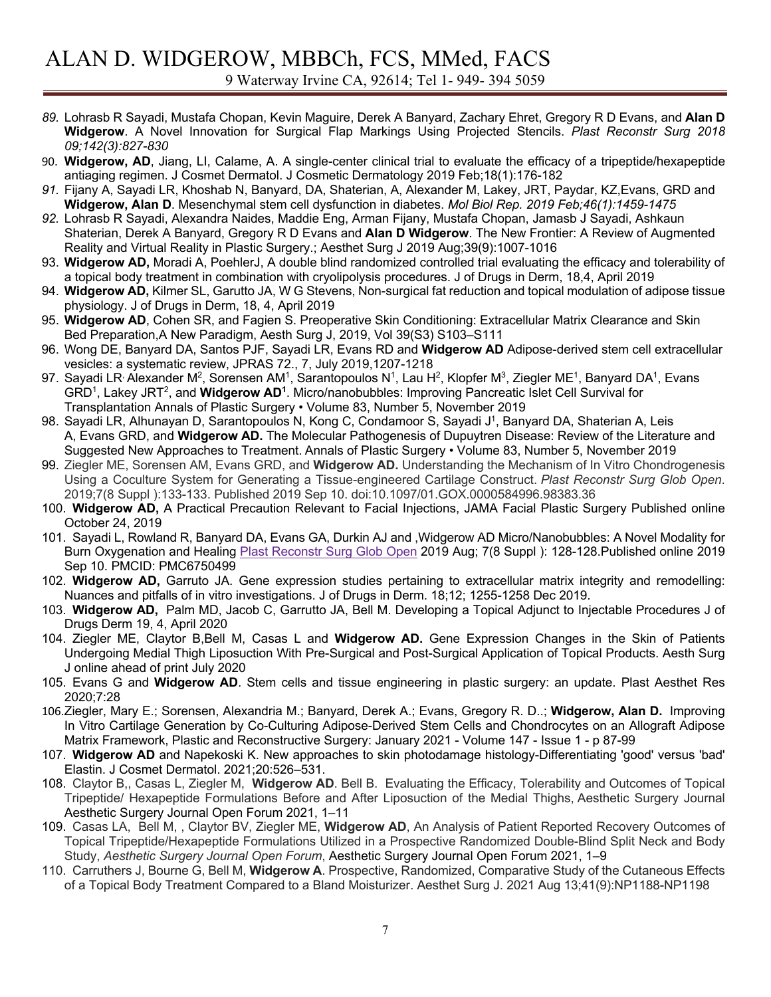- *89.* Lohrasb R Sayadi, Mustafa Chopan, Kevin Maguire, Derek A Banyard, Zachary Ehret, Gregory R D Evans, and **Alan D Widgerow**. A Novel Innovation for Surgical Flap Markings Using Projected Stencils. *Plast Reconstr Surg 2018 09;142(3):827-830*
- 90. **Widgerow, AD**, Jiang, LI, Calame, A. A single-center clinical trial to evaluate the efficacy of a tripeptide/hexapeptide antiaging regimen. J Cosmet Dermatol. J Cosmetic Dermatology 2019 Feb;18(1):176-182
- *91.* Fijany A, Sayadi LR, Khoshab N, Banyard, DA, Shaterian, A, Alexander M, Lakey, JRT, Paydar, KZ,Evans, GRD and **Widgerow, Alan D**. Mesenchymal stem cell dysfunction in diabetes. *Mol Biol Rep. 2019 Feb;46(1):1459-1475*
- *92.* Lohrasb R Sayadi, Alexandra Naides, Maddie Eng, Arman Fijany, Mustafa Chopan, Jamasb J Sayadi, Ashkaun Shaterian, Derek A Banyard, Gregory R D Evans and **Alan D Widgerow**. The New Frontier: A Review of Augmented Reality and Virtual Reality in Plastic Surgery.; Aesthet Surg J 2019 Aug;39(9):1007-1016
- 93. **Widgerow AD,** Moradi A, PoehlerJ, A double blind randomized controlled trial evaluating the efficacy and tolerability of a topical body treatment in combination with cryolipolysis procedures. J of Drugs in Derm, 18,4, April 2019
- 94. **Widgerow AD,** Kilmer SL, Garutto JA, W G Stevens, Non-surgical fat reduction and topical modulation of adipose tissue physiology. J of Drugs in Derm, 18, 4, April 2019
- 95. **Widgerow AD**, Cohen SR, and Fagien S. Preoperative Skin Conditioning: Extracellular Matrix Clearance and Skin Bed Preparation,A New Paradigm, Aesth Surg J, 2019, Vol 39(S3) S103–S111
- 96. Wong DE, Banyard DA, Santos PJF, Sayadi LR, Evans RD and **Widgerow AD** Adipose-derived stem cell extracellular vesicles: a systematic review, JPRAS 72., 7, July 2019,1207-1218
- 97. Sayadi LR<sup>,</sup> Alexander M<sup>2</sup>, Sorensen AM<sup>1</sup>, Sarantopoulos N<sup>1</sup>, Lau H<sup>2</sup>, Klopfer M<sup>3</sup>, Ziegler ME<sup>1</sup>, Banyard DA<sup>1</sup>, Evans GRD1, Lakey JRT2, and **Widgerow AD1**. Micro/nanobubbles: Improving Pancreatic Islet Cell Survival for Transplantation Annals of Plastic Surgery • Volume 83, Number 5, November 2019
- 98. Sayadi LR, Alhunayan D, Sarantopoulos N, Kong C, Condamoor S, Sayadi J<sup>1</sup>, Banyard DA, Shaterian A, Leis A, Evans GRD, and **Widgerow AD.** The Molecular Pathogenesis of Dupuytren Disease: Review of the Literature and Suggested New Approaches to Treatment. Annals of Plastic Surgery • Volume 83, Number 5, November 2019
- 99. Ziegler ME, Sorensen AM, Evans GRD, and **Widgerow AD.** Understanding the Mechanism of In Vitro Chondrogenesis Using a Coculture System for Generating a Tissue-engineered Cartilage Construct. *Plast Reconstr Surg Glob Open*. 2019;7(8 Suppl ):133-133. Published 2019 Sep 10. doi:10.1097/01.GOX.0000584996.98383.36
- 100. **Widgerow AD,** A Practical Precaution Relevant to Facial Injections, JAMA Facial Plastic Surgery Published online October 24, 2019
- 101. Sayadi L, Rowland R, Banyard DA, Evans GA, Durkin AJ and ,Widgerow AD Micro/Nanobubbles: A Novel Modality for Burn Oxygenation and Healing Plast Reconstr Surg Glob Open 2019 Aug; 7(8 Suppl ): 128-128.Published online 2019 Sep 10. PMCID: PMC6750499
- 102. **Widgerow AD,** Garruto JA. Gene expression studies pertaining to extracellular matrix integrity and remodelling: Nuances and pitfalls of in vitro investigations. J of Drugs in Derm. 18;12; 1255-1258 Dec 2019.
- 103. **Widgerow AD,** Palm MD, Jacob C, Garrutto JA, Bell M. Developing a Topical Adjunct to Injectable Procedures J of Drugs Derm 19, 4, April 2020
- 104. Ziegler ME, Claytor B,Bell M, Casas L and **Widgerow AD.** Gene Expression Changes in the Skin of Patients Undergoing Medial Thigh Liposuction With Pre-Surgical and Post-Surgical Application of Topical Products. Aesth Surg J online ahead of print July 2020
- 105. Evans G and **Widgerow AD**. Stem cells and tissue engineering in plastic surgery: an update. Plast Aesthet Res 2020;7:28
- 106.Ziegler, Mary E.; Sorensen, Alexandria M.; Banyard, Derek A.; Evans, Gregory R. D..; **Widgerow, Alan D.** Improving In Vitro Cartilage Generation by Co-Culturing Adipose-Derived Stem Cells and Chondrocytes on an Allograft Adipose Matrix Framework, Plastic and Reconstructive Surgery: January 2021 - Volume 147 - Issue 1 - p 87-99
- 107. **Widgerow AD** and Napekoski K. New approaches to skin photodamage histology-Differentiating 'good' versus 'bad' Elastin. J Cosmet Dermatol. 2021;20:526–531.
- 108. Claytor B,, Casas L, Ziegler M, **Widgerow AD**. Bell B. Evaluating the Efficacy, Tolerability and Outcomes of Topical Tripeptide/ Hexapeptide Formulations Before and After Liposuction of the Medial Thighs, Aesthetic Surgery Journal Aesthetic Surgery Journal Open Forum 2021, 1–11
- 109. Casas LA, Bell M, , Claytor BV, Ziegler ME, **Widgerow AD**, An Analysis of Patient Reported Recovery Outcomes of Topical Tripeptide/Hexapeptide Formulations Utilized in a Prospective Randomized Double-Blind Split Neck and Body Study, *Aesthetic Surgery Journal Open Forum*, Aesthetic Surgery Journal Open Forum 2021, 1–9
- 110. Carruthers J, Bourne G, Bell M, **Widgerow A**. Prospective, Randomized, Comparative Study of the Cutaneous Effects of a Topical Body Treatment Compared to a Bland Moisturizer. Aesthet Surg J. 2021 Aug 13;41(9):NP1188-NP1198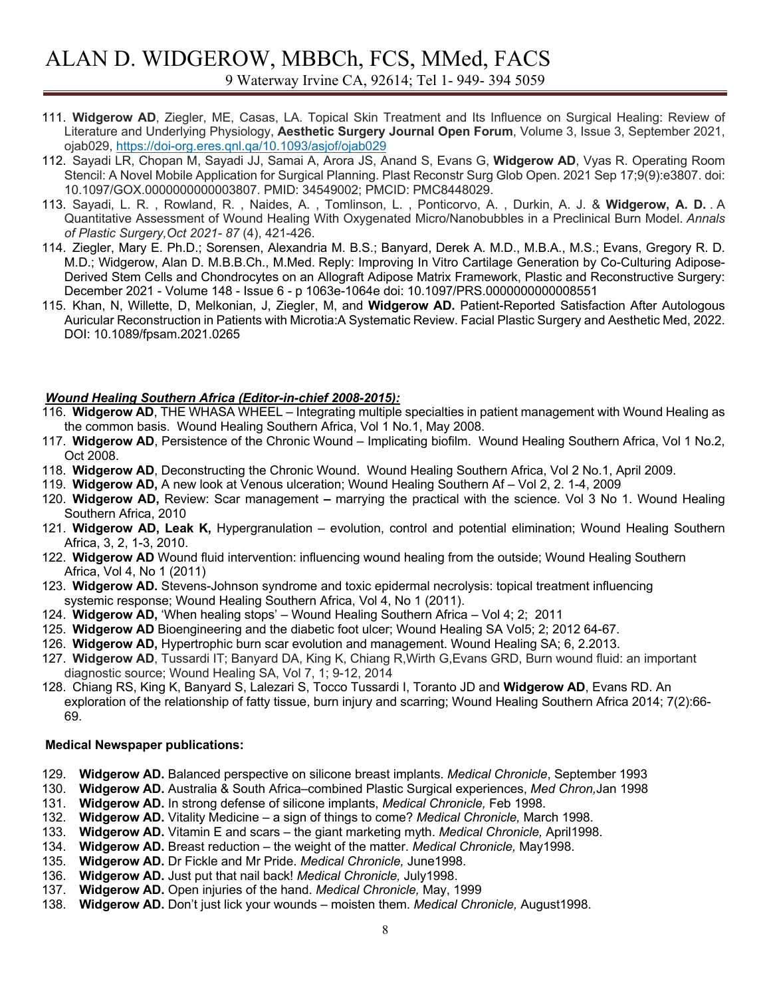# ALAN D. WIDGEROW, MBBCh, FCS, MMed, FACS 9 Waterway Irvine CA, 92614; Tel 1- 949- 394 5059

- 111. **Widgerow AD**, Ziegler, ME, Casas, LA. Topical Skin Treatment and Its Influence on Surgical Healing: Review of Literature and Underlying Physiology, **Aesthetic Surgery Journal Open Forum**, Volume 3, Issue 3, September 2021, ojab029, https://doi-org.eres.qnl.qa/10.1093/asjof/ojab029
- 112. Sayadi LR, Chopan M, Sayadi JJ, Samai A, Arora JS, Anand S, Evans G, **Widgerow AD**, Vyas R. Operating Room Stencil: A Novel Mobile Application for Surgical Planning. Plast Reconstr Surg Glob Open. 2021 Sep 17;9(9):e3807. doi: 10.1097/GOX.0000000000003807. PMID: 34549002; PMCID: PMC8448029.
- 113. Sayadi, L. R. , Rowland, R. , Naides, A. , Tomlinson, L. , Ponticorvo, A. , Durkin, A. J. & **Widgerow, A. D.** . A Quantitative Assessment of Wound Healing With Oxygenated Micro/Nanobubbles in a Preclinical Burn Model. *Annals of Plastic Surgery,Oct 2021- 87* (4), 421-426.
- 114. Ziegler, Mary E. Ph.D.; Sorensen, Alexandria M. B.S.; Banyard, Derek A. M.D., M.B.A., M.S.; Evans, Gregory R. D. M.D.; Widgerow, Alan D. M.B.B.Ch., M.Med. Reply: Improving In Vitro Cartilage Generation by Co-Culturing Adipose-Derived Stem Cells and Chondrocytes on an Allograft Adipose Matrix Framework, Plastic and Reconstructive Surgery: December 2021 - Volume 148 - Issue 6 - p 1063e-1064e doi: 10.1097/PRS.0000000000008551
- 115. Khan, N, Willette, D, Melkonian, J, Ziegler, M, and **Widgerow AD.** Patient-Reported Satisfaction After Autologous Auricular Reconstruction in Patients with Microtia:A Systematic Review. Facial Plastic Surgery and Aesthetic Med, 2022. DOI: 10.1089/fpsam.2021.0265

### *Wound Healing Southern Africa (Editor-in-chief 2008-2015):*

- 116. **Widgerow AD**, THE WHASA WHEEL Integrating multiple specialties in patient management with Wound Healing as the common basis. Wound Healing Southern Africa, Vol 1 No.1, May 2008.
- 117. **Widgerow AD**, Persistence of the Chronic Wound Implicating biofilm. Wound Healing Southern Africa, Vol 1 No.2, Oct 2008.
- 118. **Widgerow AD**, Deconstructing the Chronic Wound. Wound Healing Southern Africa, Vol 2 No.1, April 2009.
- 119. **Widgerow AD,** A new look at Venous ulceration; Wound Healing Southern Af Vol 2, 2. 1-4, 2009
- 120. **Widgerow AD,** Review: Scar management **–** marrying the practical with the science. Vol 3 No 1. Wound Healing Southern Africa, 2010
- 121. **Widgerow AD, Leak K,** Hypergranulation evolution, control and potential elimination; Wound Healing Southern Africa, 3, 2, 1-3, 2010.
- 122. **Widgerow AD** Wound fluid intervention: influencing wound healing from the outside; Wound Healing Southern Africa, Vol 4, No 1 (2011)
- 123. **Widgerow AD.** Stevens-Johnson syndrome and toxic epidermal necrolysis: topical treatment influencing systemic response; Wound Healing Southern Africa, Vol 4, No 1 (2011).
- 124. **Widgerow AD,** 'When healing stops' Wound Healing Southern Africa Vol 4; 2; 2011
- 125. **Widgerow AD** Bioengineering and the diabetic foot ulcer; Wound Healing SA Vol5; 2; 2012 64-67.
- 126. **Widgerow AD,** Hypertrophic burn scar evolution and management. Wound Healing SA; 6, 2.2013.
- 127. **Widgerow AD**, Tussardi IT; Banyard DA, King K, Chiang R,Wirth G,Evans GRD, Burn wound fluid: an important diagnostic source; Wound Healing SA, Vol 7, 1; 9-12, 2014
- 128. Chiang RS, King K, Banyard S, Lalezari S, Tocco Tussardi I, Toranto JD and **Widgerow AD**, Evans RD. An exploration of the relationship of fatty tissue, burn injury and scarring; Wound Healing Southern Africa 2014; 7(2):66- 69.

### **Medical Newspaper publications:**

- 129. **Widgerow AD.** Balanced perspective on silicone breast implants. *Medical Chronicle*, September 1993
- 130. **Widgerow AD.** Australia & South Africa–combined Plastic Surgical experiences, *Med Chron,*Jan 1998
- 131. **Widgerow AD.** In strong defense of silicone implants, *Medical Chronicle,* Feb 1998.
- 132. **Widgerow AD.** Vitality Medicine a sign of things to come? *Medical Chronicle,* March 1998.
- 133. **Widgerow AD.** Vitamin E and scars the giant marketing myth. *Medical Chronicle,* April1998.
- 134. **Widgerow AD.** Breast reduction the weight of the matter. *Medical Chronicle,* May1998.
- 135. **Widgerow AD.** Dr Fickle and Mr Pride. *Medical Chronicle,* June1998.
- 136. **Widgerow AD.** Just put that nail back! *Medical Chronicle,* July1998.
- 137. **Widgerow AD.** Open injuries of the hand. *Medical Chronicle,* May, 1999
- 138. **Widgerow AD.** Don't just lick your wounds moisten them. *Medical Chronicle,* August1998.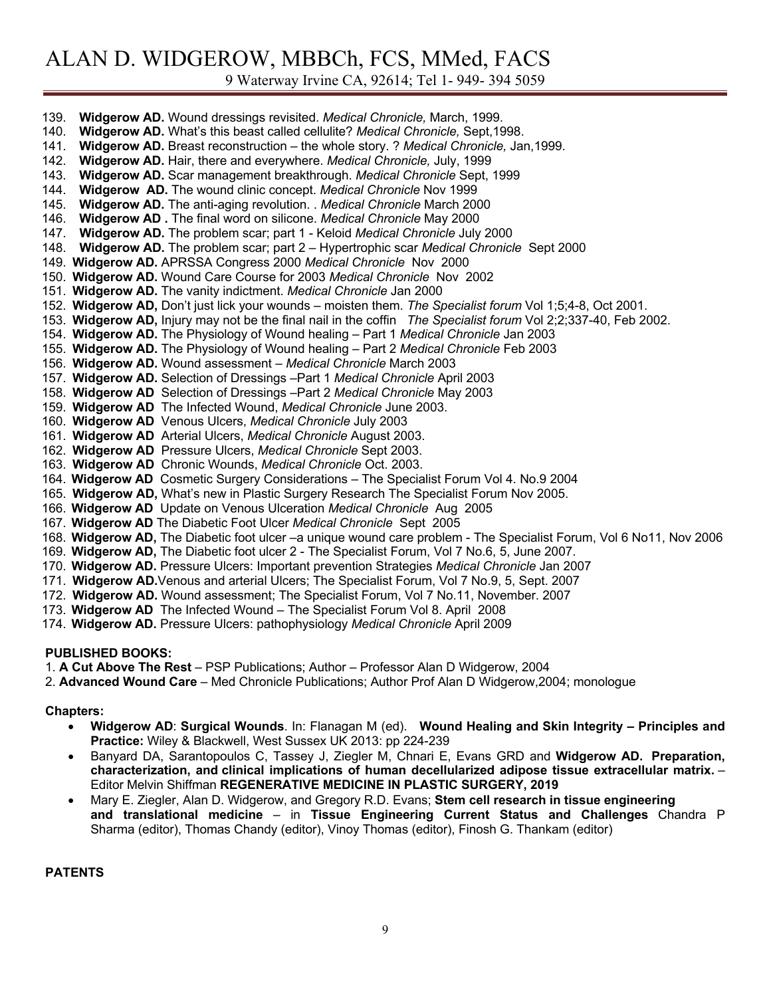9 Waterway Irvine CA, 92614; Tel 1- 949- 394 5059

| Widgerow AD. Wound dressings revisited. Medical Chronicle, March, 1999.<br>139.                                     |
|---------------------------------------------------------------------------------------------------------------------|
| 140.<br>Widgerow AD. What's this beast called cellulite? Medical Chronicle, Sept, 1998.                             |
| 141.<br>Widgerow AD. Breast reconstruction - the whole story. ? Medical Chronicle, Jan, 1999.                       |
| 142.<br>Widgerow AD. Hair, there and everywhere. Medical Chronicle, July, 1999                                      |
| 143.<br>Widgerow AD. Scar management breakthrough. Medical Chronicle Sept, 1999                                     |
| Widgerow AD. The wound clinic concept. Medical Chronicle Nov 1999<br>144.                                           |
| Widgerow AD. The anti-aging revolution. . Medical Chronicle March 2000<br>145.                                      |
| 146.<br><b>Widgerow AD.</b> The final word on silicone. Medical Chronicle May 2000                                  |
| Widgerow AD. The problem scar; part 1 - Keloid Medical Chronicle July 2000<br>147.                                  |
| Widgerow AD. The problem scar; part 2 - Hypertrophic scar Medical Chronicle Sept 2000<br>148.                       |
| 149. Widgerow AD. APRSSA Congress 2000 Medical Chronicle Nov 2000                                                   |
| 150. Widgerow AD. Wound Care Course for 2003 Medical Chronicle Nov 2002                                             |
| 151. Widgerow AD. The vanity indictment. Medical Chronicle Jan 2000                                                 |
| 152. Widgerow AD, Don't just lick your wounds – moisten them. The Specialist forum Vol 1;5;4-8, Oct 2001.           |
| 153. Widgerow AD, Injury may not be the final nail in the coffin The Specialist forum Vol 2;2;337-40, Feb 2002.     |
| 154. Widgerow AD. The Physiology of Wound healing - Part 1 Medical Chronicle Jan 2003                               |
| 155. Widgerow AD. The Physiology of Wound healing - Part 2 Medical Chronicle Feb 2003                               |
| 156. Widgerow AD. Wound assessment - Medical Chronicle March 2003                                                   |
| 157. Widgerow AD. Selection of Dressings -Part 1 Medical Chronicle April 2003                                       |
|                                                                                                                     |
| 158. Widgerow AD Selection of Dressings - Part 2 Medical Chronicle May 2003                                         |
| 159. Widgerow AD The Infected Wound, Medical Chronicle June 2003.                                                   |
| 160. Widgerow AD Venous Ulcers, Medical Chronicle July 2003                                                         |
| 161. Widgerow AD Arterial Ulcers, Medical Chronicle August 2003.                                                    |
| 162. Widgerow AD Pressure Ulcers, Medical Chronicle Sept 2003.                                                      |
| 163. Widgerow AD Chronic Wounds, Medical Chronicle Oct. 2003.                                                       |
| 164. Widgerow AD Cosmetic Surgery Considerations - The Specialist Forum Vol 4. No.9 2004                            |
| 165. Widgerow AD, What's new in Plastic Surgery Research The Specialist Forum Nov 2005.                             |
| 166. Widgerow AD Update on Venous Ulceration Medical Chronicle Aug 2005                                             |
| 167. Widgerow AD The Diabetic Foot Ulcer Medical Chronicle Sept 2005                                                |
| 168. Widgerow AD, The Diabetic foot ulcer -a unique wound care problem - The Specialist Forum, Vol 6 No11, Nov 2006 |
| 169. Widgerow AD, The Diabetic foot ulcer 2 - The Specialist Forum, Vol 7 No.6, 5, June 2007.                       |
| 170. Widgerow AD. Pressure Ulcers: Important prevention Strategies Medical Chronicle Jan 2007                       |
| 171. Widgerow AD. Venous and arterial Ulcers; The Specialist Forum, Vol 7 No.9, 5, Sept. 2007                       |
| 172. Widgerow AD. Wound assessment; The Specialist Forum, Vol 7 No.11, November. 2007                               |
| 173. Widgerow AD The Infected Wound - The Specialist Forum Vol 8. April 2008                                        |
| 174. Widgerow AD. Pressure Ulcers: pathophysiology Medical Chronicle April 2009                                     |

### **PUBLISHED BOOKS:**

1. **A Cut Above The Rest** – PSP Publications; Author – Professor Alan D Widgerow, 2004

2. **Advanced Wound Care** – Med Chronicle Publications; Author Prof Alan D Widgerow,2004; monologue

#### **Chapters:**

- **Widgerow AD**: **Surgical Wounds**. In: Flanagan M (ed). **Wound Healing and Skin Integrity – Principles and Practice:** Wiley & Blackwell, West Sussex UK 2013: pp 224-239
- Banyard DA, Sarantopoulos C, Tassey J, Ziegler M, Chnari E, Evans GRD and **Widgerow AD. Preparation, characterization, and clinical implications of human decellularized adipose tissue extracellular matrix.** – Editor Melvin Shiffman **REGENERATIVE MEDICINE IN PLASTIC SURGERY, 2019**
- Mary E. Ziegler, Alan D. Widgerow, and Gregory R.D. Evans; **Stem cell research in tissue engineering and translational medicine** – in **Tissue Engineering Current Status and Challenges** Chandra P Sharma (editor), Thomas Chandy (editor), Vinoy Thomas (editor), Finosh G. Thankam (editor)

#### **PATENTS**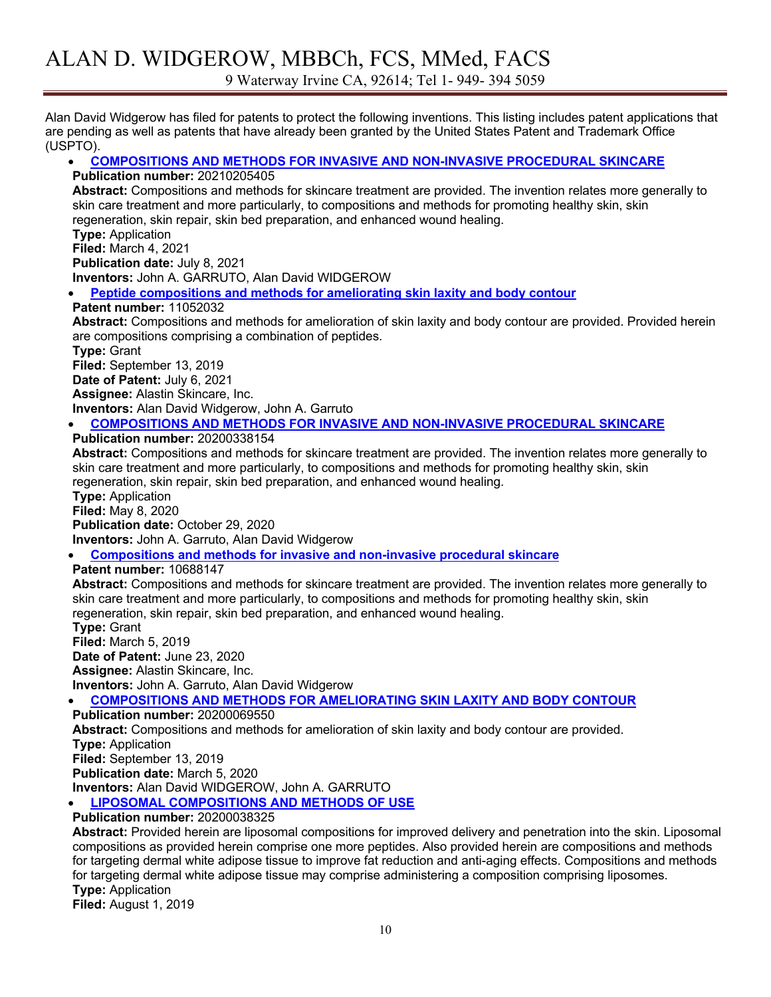9 Waterway Irvine CA, 92614; Tel 1- 949- 394 5059

Alan David Widgerow has filed for patents to protect the following inventions. This listing includes patent applications that are pending as well as patents that have already been granted by the United States Patent and Trademark Office (USPTO).

### • **COMPOSITIONS AND METHODS FOR INVASIVE AND NON-INVASIVE PROCEDURAL SKINCARE**

#### **Publication number:** 20210205405

**Abstract:** Compositions and methods for skincare treatment are provided. The invention relates more generally to skin care treatment and more particularly, to compositions and methods for promoting healthy skin, skin regeneration, skin repair, skin bed preparation, and enhanced wound healing.

**Type:** Application

**Filed:** March 4, 2021

**Publication date:** July 8, 2021

**Inventors:** John A. GARRUTO, Alan David WIDGEROW

• **Peptide compositions and methods for ameliorating skin laxity and body contour**

### **Patent number:** 11052032

**Abstract:** Compositions and methods for amelioration of skin laxity and body contour are provided. Provided herein are compositions comprising a combination of peptides.

**Type:** Grant

**Filed:** September 13, 2019 **Date of Patent:** July 6, 2021

**Assignee:** Alastin Skincare, Inc.

**Inventors:** Alan David Widgerow, John A. Garruto

# • **COMPOSITIONS AND METHODS FOR INVASIVE AND NON-INVASIVE PROCEDURAL SKINCARE**

**Publication number:** 20200338154

**Abstract:** Compositions and methods for skincare treatment are provided. The invention relates more generally to skin care treatment and more particularly, to compositions and methods for promoting healthy skin, skin regeneration, skin repair, skin bed preparation, and enhanced wound healing.

**Type:** Application **Filed:** May 8, 2020

**Publication date:** October 29, 2020

**Inventors:** John A. Garruto, Alan David Widgerow

• **Compositions and methods for invasive and non-invasive procedural skincare**

**Patent number:** 10688147

**Abstract:** Compositions and methods for skincare treatment are provided. The invention relates more generally to skin care treatment and more particularly, to compositions and methods for promoting healthy skin, skin regeneration, skin repair, skin bed preparation, and enhanced wound healing.

**Type:** Grant **Filed:** March 5, 2019 **Date of Patent:** June 23, 2020

**Assignee:** Alastin Skincare, Inc.

**Inventors:** John A. Garruto, Alan David Widgerow • **COMPOSITIONS AND METHODS FOR AMELIORATING SKIN LAXITY AND BODY CONTOUR**

**Publication number:** 20200069550

**Abstract:** Compositions and methods for amelioration of skin laxity and body contour are provided. **Type:** Application **Filed:** September 13, 2019 **Publication date:** March 5, 2020 **Inventors:** Alan David WIDGEROW, John A. GARRUTO • **LIPOSOMAL COMPOSITIONS AND METHODS OF USE**

**Publication number:** 20200038325

**Abstract:** Provided herein are liposomal compositions for improved delivery and penetration into the skin. Liposomal compositions as provided herein comprise one more peptides. Also provided herein are compositions and methods for targeting dermal white adipose tissue to improve fat reduction and anti-aging effects. Compositions and methods for targeting dermal white adipose tissue may comprise administering a composition comprising liposomes. **Type:** Application

**Filed:** August 1, 2019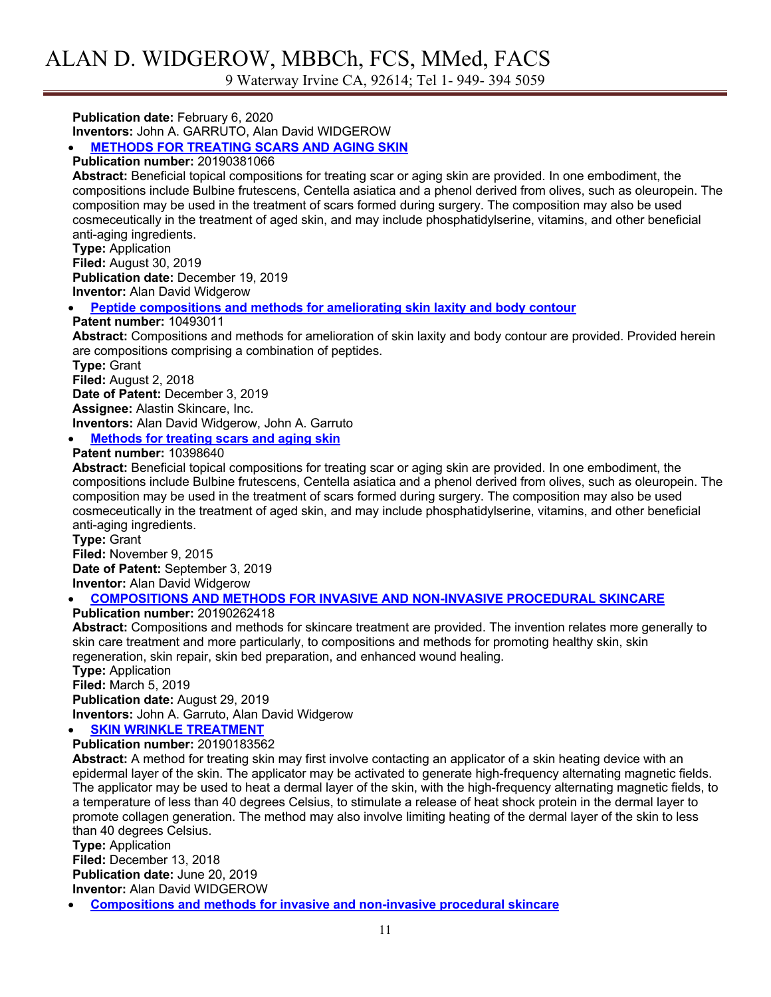9 Waterway Irvine CA, 92614; Tel 1- 949- 394 5059

**Publication date:** February 6, 2020

**Inventors:** John A. GARRUTO, Alan David WIDGEROW

• **METHODS FOR TREATING SCARS AND AGING SKIN**

## **Publication number:** 20190381066

**Abstract:** Beneficial topical compositions for treating scar or aging skin are provided. In one embodiment, the compositions include Bulbine frutescens, Centella asiatica and a phenol derived from olives, such as oleuropein. The composition may be used in the treatment of scars formed during surgery. The composition may also be used cosmeceutically in the treatment of aged skin, and may include phosphatidylserine, vitamins, and other beneficial anti-aging ingredients.

**Type:** Application **Filed:** August 30, 2019 **Publication date:** December 19, 2019 **Inventor:** Alan David Widgerow

#### • **Peptide compositions and methods for ameliorating skin laxity and body contour**

**Patent number:** 10493011

**Abstract:** Compositions and methods for amelioration of skin laxity and body contour are provided. Provided herein are compositions comprising a combination of peptides.

**Type:** Grant

**Filed:** August 2, 2018

**Date of Patent:** December 3, 2019

**Assignee:** Alastin Skincare, Inc.

**Inventors:** Alan David Widgerow, John A. Garruto

### • **Methods for treating scars and aging skin**

#### **Patent number:** 10398640

**Abstract:** Beneficial topical compositions for treating scar or aging skin are provided. In one embodiment, the compositions include Bulbine frutescens, Centella asiatica and a phenol derived from olives, such as oleuropein. The composition may be used in the treatment of scars formed during surgery. The composition may also be used cosmeceutically in the treatment of aged skin, and may include phosphatidylserine, vitamins, and other beneficial anti-aging ingredients.

**Type:** Grant **Filed:** November 9, 2015 **Date of Patent:** September 3, 2019 **Inventor:** Alan David Widgerow

#### • **COMPOSITIONS AND METHODS FOR INVASIVE AND NON-INVASIVE PROCEDURAL SKINCARE**

**Publication number:** 20190262418

**Abstract:** Compositions and methods for skincare treatment are provided. The invention relates more generally to skin care treatment and more particularly, to compositions and methods for promoting healthy skin, skin regeneration, skin repair, skin bed preparation, and enhanced wound healing.

**Type:** Application **Filed:** March 5, 2019

**Publication date:** August 29, 2019 **Inventors:** John A. Garruto, Alan David Widgerow

## **SKIN WRINKLE TREATMENT**

**Publication number:** 20190183562

**Abstract:** A method for treating skin may first involve contacting an applicator of a skin heating device with an epidermal layer of the skin. The applicator may be activated to generate high-frequency alternating magnetic fields. The applicator may be used to heat a dermal layer of the skin, with the high-frequency alternating magnetic fields, to a temperature of less than 40 degrees Celsius, to stimulate a release of heat shock protein in the dermal layer to promote collagen generation. The method may also involve limiting heating of the dermal layer of the skin to less than 40 degrees Celsius.

**Type:** Application **Filed:** December 13, 2018 **Publication date:** June 20, 2019 **Inventor:** Alan David WIDGEROW

• **Compositions and methods for invasive and non-invasive procedural skincare**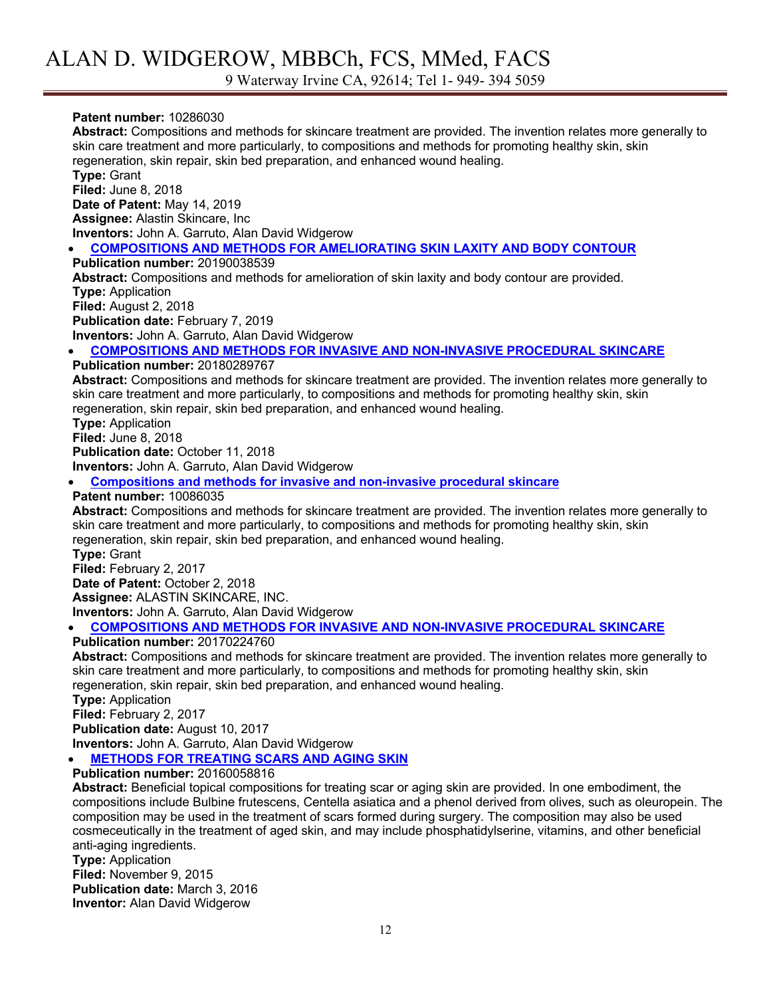### **Patent number:** 10286030

**Abstract:** Compositions and methods for skincare treatment are provided. The invention relates more generally to skin care treatment and more particularly, to compositions and methods for promoting healthy skin, skin regeneration, skin repair, skin bed preparation, and enhanced wound healing. **Type:** Grant **Filed:** June 8, 2018 **Date of Patent:** May 14, 2019 **Assignee:** Alastin Skincare, Inc **Inventors:** John A. Garruto, Alan David Widgerow • **COMPOSITIONS AND METHODS FOR AMELIORATING SKIN LAXITY AND BODY CONTOUR**

**Publication number:** 20190038539 **Abstract:** Compositions and methods for amelioration of skin laxity and body contour are provided. **Type:** Application **Filed:** August 2, 2018 **Publication date:** February 7, 2019 **Inventors:** John A. Garruto, Alan David Widgerow

• **COMPOSITIONS AND METHODS FOR INVASIVE AND NON-INVASIVE PROCEDURAL SKINCARE**

#### **Publication number:** 20180289767

**Abstract:** Compositions and methods for skincare treatment are provided. The invention relates more generally to skin care treatment and more particularly, to compositions and methods for promoting healthy skin, skin regeneration, skin repair, skin bed preparation, and enhanced wound healing.

**Type:** Application

**Filed:** June 8, 2018

**Publication date:** October 11, 2018

**Inventors:** John A. Garruto, Alan David Widgerow

• **Compositions and methods for invasive and non-invasive procedural skincare**

**Patent number:** 10086035

**Abstract:** Compositions and methods for skincare treatment are provided. The invention relates more generally to skin care treatment and more particularly, to compositions and methods for promoting healthy skin, skin regeneration, skin repair, skin bed preparation, and enhanced wound healing.

**Type:** Grant

**Filed:** February 2, 2017 **Date of Patent:** October 2, 2018 **Assignee:** ALASTIN SKINCARE, INC. **Inventors:** John A. Garruto, Alan David Widgerow

### • **COMPOSITIONS AND METHODS FOR INVASIVE AND NON-INVASIVE PROCEDURAL SKINCARE**

**Publication number:** 20170224760

**Abstract:** Compositions and methods for skincare treatment are provided. The invention relates more generally to skin care treatment and more particularly, to compositions and methods for promoting healthy skin, skin regeneration, skin repair, skin bed preparation, and enhanced wound healing.

**Type:** Application

**Filed:** February 2, 2017

**Publication date:** August 10, 2017

**Inventors:** John A. Garruto, Alan David Widgerow

• **METHODS FOR TREATING SCARS AND AGING SKIN**

**Publication number:** 20160058816

**Abstract:** Beneficial topical compositions for treating scar or aging skin are provided. In one embodiment, the compositions include Bulbine frutescens, Centella asiatica and a phenol derived from olives, such as oleuropein. The composition may be used in the treatment of scars formed during surgery. The composition may also be used cosmeceutically in the treatment of aged skin, and may include phosphatidylserine, vitamins, and other beneficial anti-aging ingredients.

**Type:** Application **Filed:** November 9, 2015 **Publication date:** March 3, 2016 **Inventor:** Alan David Widgerow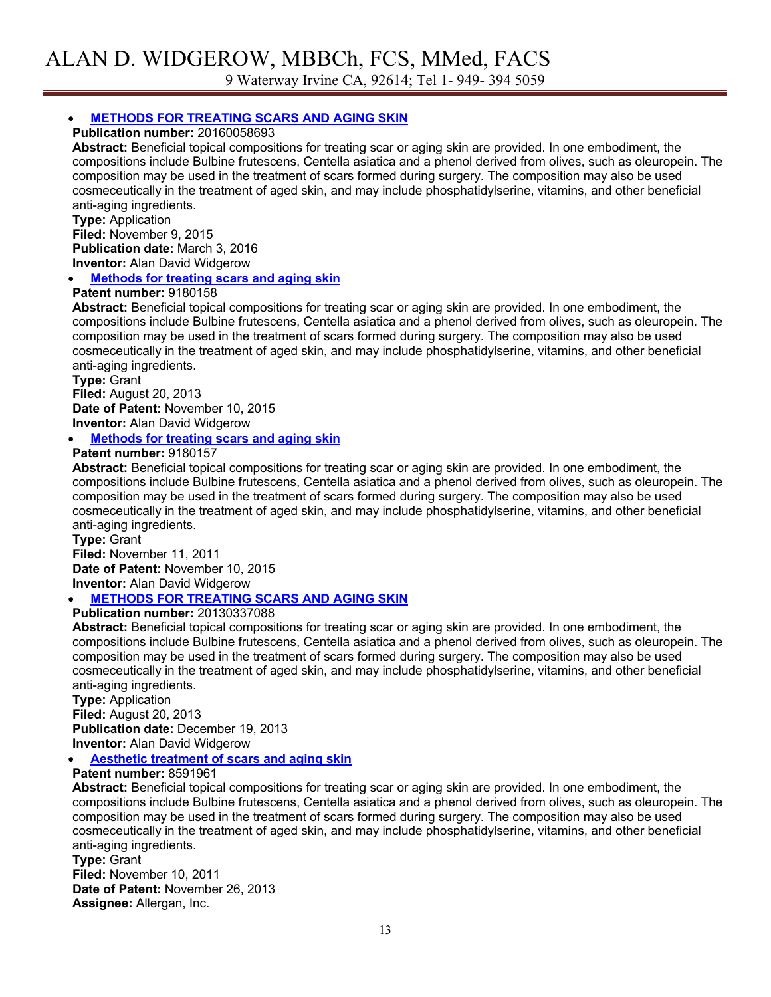### • **METHODS FOR TREATING SCARS AND AGING SKIN**

**Publication number:** 20160058693

**Abstract:** Beneficial topical compositions for treating scar or aging skin are provided. In one embodiment, the compositions include Bulbine frutescens, Centella asiatica and a phenol derived from olives, such as oleuropein. The composition may be used in the treatment of scars formed during surgery. The composition may also be used cosmeceutically in the treatment of aged skin, and may include phosphatidylserine, vitamins, and other beneficial anti-aging ingredients.

**Type:** Application **Filed:** November 9, 2015 **Publication date:** March 3, 2016 **Inventor:** Alan David Widgerow

• **Methods for treating scars and aging skin**

#### **Patent number:** 9180158

**Abstract:** Beneficial topical compositions for treating scar or aging skin are provided. In one embodiment, the compositions include Bulbine frutescens, Centella asiatica and a phenol derived from olives, such as oleuropein. The composition may be used in the treatment of scars formed during surgery. The composition may also be used cosmeceutically in the treatment of aged skin, and may include phosphatidylserine, vitamins, and other beneficial anti-aging ingredients.

**Type:** Grant **Filed:** August 20, 2013 **Date of Patent:** November 10, 2015 **Inventor:** Alan David Widgerow

• **Methods for treating scars and aging skin**

#### **Patent number:** 9180157

**Abstract:** Beneficial topical compositions for treating scar or aging skin are provided. In one embodiment, the compositions include Bulbine frutescens, Centella asiatica and a phenol derived from olives, such as oleuropein. The composition may be used in the treatment of scars formed during surgery. The composition may also be used cosmeceutically in the treatment of aged skin, and may include phosphatidylserine, vitamins, and other beneficial anti-aging ingredients.

**Type:** Grant **Filed:** November 11, 2011 **Date of Patent:** November 10, 2015 **Inventor:** Alan David Widgerow

### • **METHODS FOR TREATING SCARS AND AGING SKIN**

### **Publication number:** 20130337088

**Abstract:** Beneficial topical compositions for treating scar or aging skin are provided. In one embodiment, the compositions include Bulbine frutescens, Centella asiatica and a phenol derived from olives, such as oleuropein. The composition may be used in the treatment of scars formed during surgery. The composition may also be used cosmeceutically in the treatment of aged skin, and may include phosphatidylserine, vitamins, and other beneficial anti-aging ingredients.

**Type:** Application **Filed:** August 20, 2013 **Publication date:** December 19, 2013 **Inventor:** Alan David Widgerow

#### • **Aesthetic treatment of scars and aging skin**

#### **Patent number:** 8591961

**Abstract:** Beneficial topical compositions for treating scar or aging skin are provided. In one embodiment, the compositions include Bulbine frutescens, Centella asiatica and a phenol derived from olives, such as oleuropein. The composition may be used in the treatment of scars formed during surgery. The composition may also be used cosmeceutically in the treatment of aged skin, and may include phosphatidylserine, vitamins, and other beneficial anti-aging ingredients.

**Type:** Grant **Filed:** November 10, 2011 **Date of Patent:** November 26, 2013 **Assignee:** Allergan, Inc.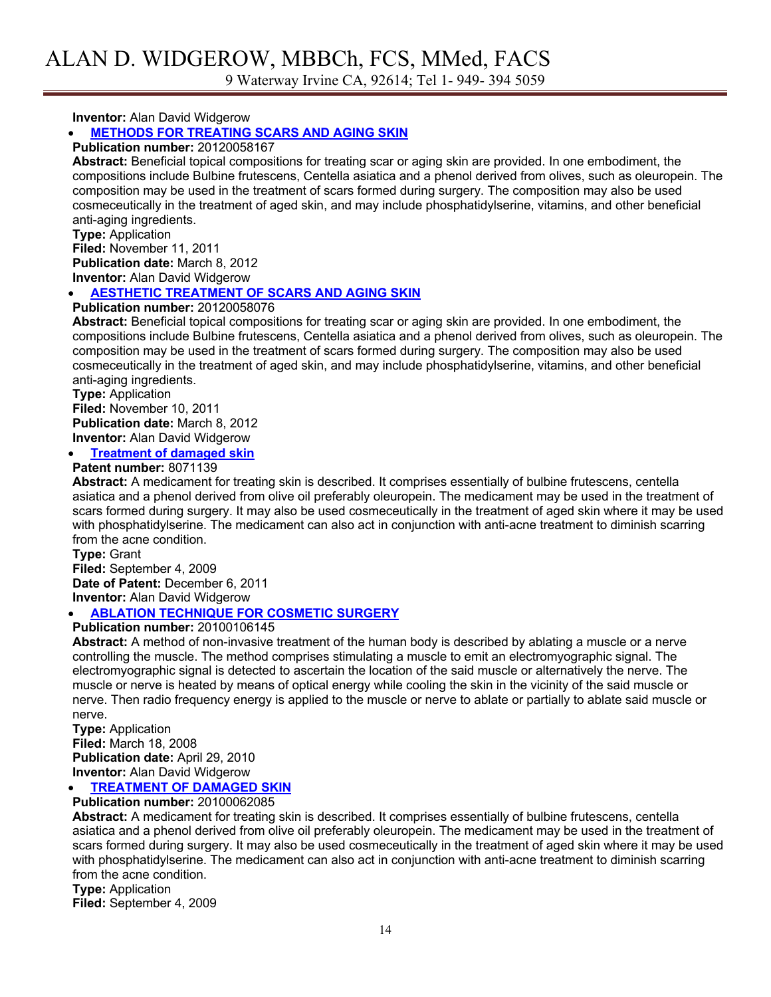**Inventor:** Alan David Widgerow

### • **METHODS FOR TREATING SCARS AND AGING SKIN**

#### **Publication number:** 20120058167

**Abstract:** Beneficial topical compositions for treating scar or aging skin are provided. In one embodiment, the compositions include Bulbine frutescens, Centella asiatica and a phenol derived from olives, such as oleuropein. The composition may be used in the treatment of scars formed during surgery. The composition may also be used cosmeceutically in the treatment of aged skin, and may include phosphatidylserine, vitamins, and other beneficial anti-aging ingredients.

**Type:** Application **Filed:** November 11, 2011 **Publication date:** March 8, 2012 **Inventor:** Alan David Widgerow

#### • **AESTHETIC TREATMENT OF SCARS AND AGING SKIN**

#### **Publication number:** 20120058076

**Abstract:** Beneficial topical compositions for treating scar or aging skin are provided. In one embodiment, the compositions include Bulbine frutescens, Centella asiatica and a phenol derived from olives, such as oleuropein. The composition may be used in the treatment of scars formed during surgery. The composition may also be used cosmeceutically in the treatment of aged skin, and may include phosphatidylserine, vitamins, and other beneficial anti-aging ingredients.

**Type:** Application **Filed:** November 10, 2011 **Publication date:** March 8, 2012 **Inventor:** Alan David Widgerow

**Treatment of damaged skin** 

**Patent number:** 8071139

**Abstract:** A medicament for treating skin is described. It comprises essentially of bulbine frutescens, centella asiatica and a phenol derived from olive oil preferably oleuropein. The medicament may be used in the treatment of scars formed during surgery. It may also be used cosmeceutically in the treatment of aged skin where it may be used with phosphatidylserine. The medicament can also act in conjunction with anti-acne treatment to diminish scarring from the acne condition.

**Type:** Grant **Filed:** September 4, 2009 **Date of Patent:** December 6, 2011 **Inventor:** Alan David Widgerow

### • **ABLATION TECHNIQUE FOR COSMETIC SURGERY**

### **Publication number:** 20100106145

**Abstract:** A method of non-invasive treatment of the human body is described by ablating a muscle or a nerve controlling the muscle. The method comprises stimulating a muscle to emit an electromyographic signal. The electromyographic signal is detected to ascertain the location of the said muscle or alternatively the nerve. The muscle or nerve is heated by means of optical energy while cooling the skin in the vicinity of the said muscle or nerve. Then radio frequency energy is applied to the muscle or nerve to ablate or partially to ablate said muscle or nerve.

**Type:** Application **Filed:** March 18, 2008 **Publication date:** April 29, 2010 **Inventor:** Alan David Widgerow

### • **TREATMENT OF DAMAGED SKIN**

**Publication number:** 20100062085

**Abstract:** A medicament for treating skin is described. It comprises essentially of bulbine frutescens, centella asiatica and a phenol derived from olive oil preferably oleuropein. The medicament may be used in the treatment of scars formed during surgery. It may also be used cosmeceutically in the treatment of aged skin where it may be used with phosphatidylserine. The medicament can also act in conjunction with anti-acne treatment to diminish scarring from the acne condition.

**Type:** Application

**Filed:** September 4, 2009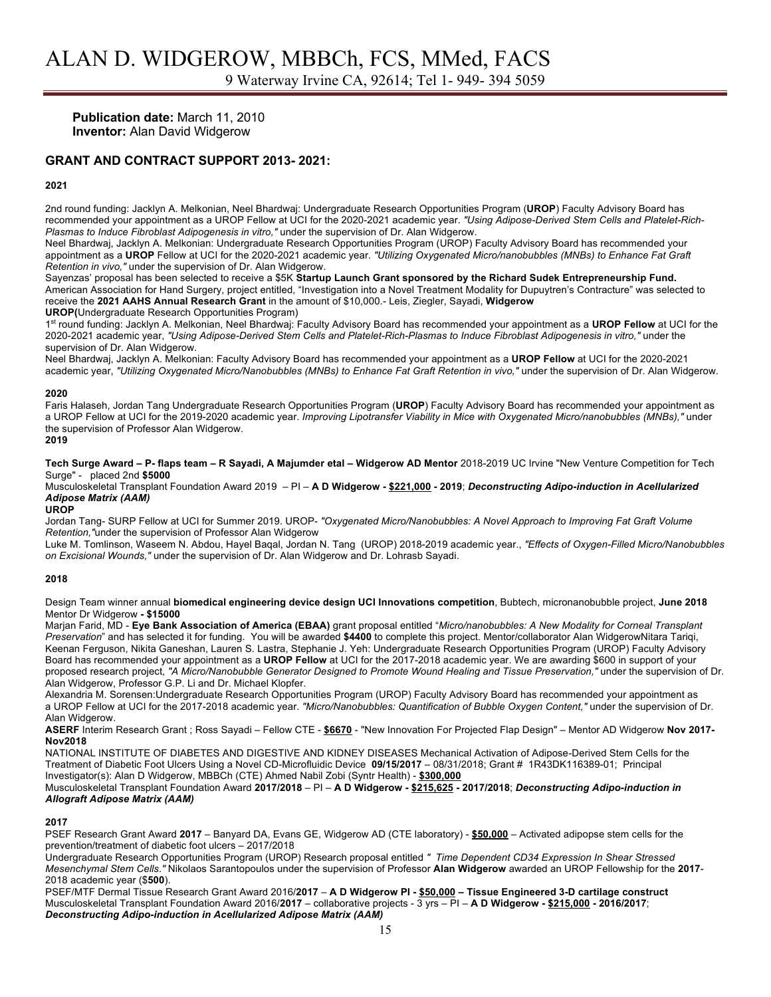**Publication date:** March 11, 2010 **Inventor:** Alan David Widgerow

#### **GRANT AND CONTRACT SUPPORT 2013- 2021:**

#### **2021**

2nd round funding: Jacklyn A. Melkonian, Neel Bhardwaj: Undergraduate Research Opportunities Program (**UROP**) Faculty Advisory Board has recommended your appointment as a UROP Fellow at UCI for the 2020-2021 academic year. *"Using Adipose-Derived Stem Cells and Platelet-Rich-Plasmas to Induce Fibroblast Adipogenesis in vitro,"* under the supervision of Dr. Alan Widgerow.

Neel Bhardwaj, Jacklyn A. Melkonian: Undergraduate Research Opportunities Program (UROP) Faculty Advisory Board has recommended your appointment as a **UROP** Fellow at UCI for the 2020-2021 academic year. *"Utilizing Oxygenated Micro/nanobubbles (MNBs) to Enhance Fat Graft Retention in vivo,"* under the supervision of Dr. Alan Widgerow.

Sayenzas' proposal has been selected to receive a \$5K **Startup Launch Grant sponsored by the Richard Sudek Entrepreneurship Fund.** American Association for Hand Surgery, project entitled, "Investigation into a Novel Treatment Modality for Dupuytren's Contracture" was selected to receive the **2021 AAHS Annual Research Grant** in the amount of \$10,000.- Leis, Ziegler, Sayadi, **Widgerow UROP(**Undergraduate Research Opportunities Program)

1st round funding: Jacklyn A. Melkonian, Neel Bhardwaj: Faculty Advisory Board has recommended your appointment as a **UROP Fellow** at UCI for the 2020-2021 academic year, *"Using Adipose-Derived Stem Cells and Platelet-Rich-Plasmas to Induce Fibroblast Adipogenesis in vitro,"* under the supervision of Dr. Alan Widgerow.

Neel Bhardwaj, Jacklyn A. Melkonian: Faculty Advisory Board has recommended your appointment as a **UROP Fellow** at UCI for the 2020-2021 academic year, *"Utilizing Oxygenated Micro/Nanobubbles (MNBs) to Enhance Fat Graft Retention in vivo,"* under the supervision of Dr. Alan Widgerow.

#### **2020**

Faris Halaseh, Jordan Tang Undergraduate Research Opportunities Program (**UROP**) Faculty Advisory Board has recommended your appointment as a UROP Fellow at UCI for the 2019-2020 academic year. *Improving Lipotransfer Viability in Mice with Oxygenated Micro/nanobubbles (MNBs),"* under the supervision of Professor Alan Widgerow.

**2019**

**Tech Surge Award – P- flaps team – R Sayadi, A Majumder etal – Widgerow AD Mentor** 2018-2019 UC Irvine "New Venture Competition for Tech Surge" - placed 2nd **\$5000**

Musculoskeletal Transplant Foundation Award 2019 – PI – **A D Widgerow - \$221,000 - 2019**; *Deconstructing Adipo-induction in Acellularized Adipose Matrix (AAM)*

#### **UROP**

Jordan Tang- SURP Fellow at UCI for Summer 2019. UROP- *"Oxygenated Micro/Nanobubbles: A Novel Approach to Improving Fat Graft Volume Retention,"*under the supervision of Professor Alan Widgerow

Luke M. Tomlinson, Waseem N. Abdou, Hayel Baqal, Jordan N. Tang (UROP) 2018-2019 academic year., *"Effects of Oxygen-Filled Micro/Nanobubbles on Excisional Wounds,"* under the supervision of Dr. Alan Widgerow and Dr. Lohrasb Sayadi.

#### **2018**

Design Team winner annual **biomedical engineering device design UCI Innovations competition**, Bubtech, micronanobubble project, **June 2018**  Mentor Dr Widgerow **- \$15000**

Marjan Farid, MD - **Eye Bank Association of America (EBAA)** grant proposal entitled "*Micro/nanobubbles: A New Modality for Corneal Transplant Preservation*" and has selected it for funding. You will be awarded **\$4400** to complete this project. Mentor/collaborator Alan WidgerowNitara Tariqi, Keenan Ferguson, Nikita Ganeshan, Lauren S. Lastra, Stephanie J. Yeh: Undergraduate Research Opportunities Program (UROP) Faculty Advisory Board has recommended your appointment as a **UROP Fellow** at UCI for the 2017-2018 academic year. We are awarding \$600 in support of your proposed research project, *"A Micro/Nanobubble Generator Designed to Promote Wound Healing and Tissue Preservation,"* under the supervision of Dr. Alan Widgerow, Professor G.P. Li and Dr. Michael Klopfer.

Alexandria M. Sorensen:Undergraduate Research Opportunities Program (UROP) Faculty Advisory Board has recommended your appointment as a UROP Fellow at UCI for the 2017-2018 academic year. *"Micro/Nanobubbles: Quantification of Bubble Oxygen Content,"* under the supervision of Dr. Alan Widgerow.

**ASERF** Interim Research Grant ; Ross Sayadi – Fellow CTE - **\$6670** - "New Innovation For Projected Flap Design" – Mentor AD Widgerow **Nov 2017- Nov2018**

NATIONAL INSTITUTE OF DIABETES AND DIGESTIVE AND KIDNEY DISEASES Mechanical Activation of Adipose-Derived Stem Cells for the Treatment of Diabetic Foot Ulcers Using a Novel CD-Microfluidic Device **09/15/2017** – 08/31/2018; Grant # 1R43DK116389-01; Principal Investigator(s): Alan D Widgerow, MBBCh (CTE) Ahmed Nabil Zobi (Syntr Health) - **\$300,000**

Musculoskeletal Transplant Foundation Award **2017/2018** – PI – **A D Widgerow - \$215,625 - 2017/2018**; *Deconstructing Adipo-induction in Allograft Adipose Matrix (AAM)*

#### **2017**

PSEF Research Grant Award **2017** – Banyard DA, Evans GE, Widgerow AD (CTE laboratory) - **\$50,000** – Activated adipopse stem cells for the prevention/treatment of diabetic foot ulcers – 2017/2018

Undergraduate Research Opportunities Program (UROP) Research proposal entitled *" Time Dependent CD34 Expression In Shear Stressed Mesenchymal Stem Cells*.*"* Nikolaos Sarantopoulos under the supervision of Professor **Alan Widgerow** awarded an UROP Fellowship for the **2017**- 2018 academic year (\$**500**).

PSEF/MTF Dermal Tissue Research Grant Award 2016/**2017** – **A D Widgerow PI - \$50,000 – Tissue Engineered 3-D cartilage construct** Musculoskeletal Transplant Foundation Award 2016/**2017** – collaborative projects - 3 yrs – PI – **A D Widgerow - \$215,000 - 2016/2017**; *Deconstructing Adipo-induction in Acellularized Adipose Matrix (AAM)*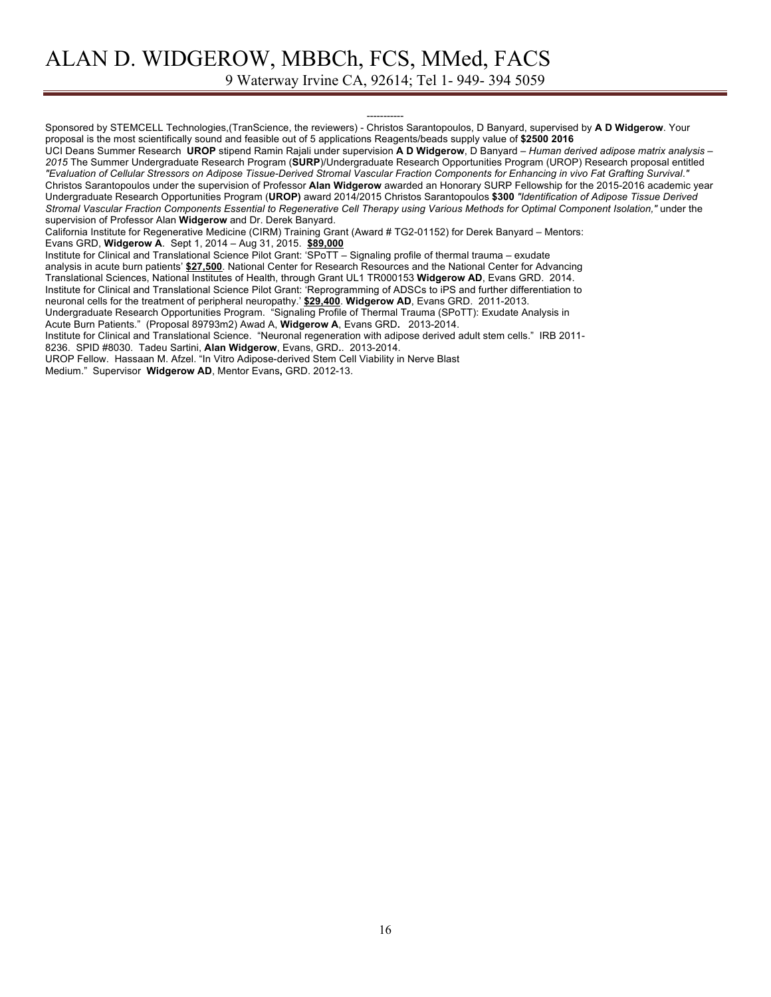9 Waterway Irvine CA, 92614; Tel 1- 949- 394 5059

----------- Sponsored by STEMCELL Technologies,(TranScience, the reviewers) - Christos Sarantopoulos, D Banyard, supervised by **A D Widgerow**. Your proposal is the most scientifically sound and feasible out of 5 applications Reagents/beads supply value of **\$2500 2016** UCI Deans Summer Research **UROP** stipend Ramin Rajali under supervision **A D Widgerow**, D Banyard – *Human derived adipose matrix analysis – 2015* The Summer Undergraduate Research Program (**SURP**)/Undergraduate Research Opportunities Program (UROP) Research proposal entitled *"Evaluation of Cellular Stressors on Adipose Tissue-Derived Stromal Vascular Fraction Components for Enhancing in vivo Fat Grafting Survival*.*"* Christos Sarantopoulos under the supervision of Professor **Alan Widgerow** awarded an Honorary SURP Fellowship for the 2015-2016 academic year Undergraduate Research Opportunities Program (**UROP)** award 2014/2015 Christos Sarantopoulos **\$300** *"Identification of Adipose Tissue Derived Stromal Vascular Fraction Components Essential to Regenerative Cell Therapy using Various Methods for Optimal Component Isolation,"* under the supervision of Professor Alan **Widgerow** and Dr. Derek Banyard. California Institute for Regenerative Medicine (CIRM) Training Grant (Award # TG2-01152) for Derek Banyard – Mentors: Evans GRD, **Widgerow A**. Sept 1, 2014 – Aug 31, 2015. **\$89,000** Institute for Clinical and Translational Science Pilot Grant: 'SPoTT – Signaling profile of thermal trauma – exudate analysis in acute burn patients' **\$27,500**. National Center for Research Resources and the National Center for Advancing Translational Sciences, National Institutes of Health, through Grant UL1 TR000153 **Widgerow AD**, Evans GRD. 2014. Institute for Clinical and Translational Science Pilot Grant: 'Reprogramming of ADSCs to iPS and further differentiation to neuronal cells for the treatment of peripheral neuropathy.' **\$29,400**. **Widgerow AD**, Evans GRD. 2011-2013. Undergraduate Research Opportunities Program. "Signaling Profile of Thermal Trauma (SPoTT): Exudate Analysis in Acute Burn Patients." (Proposal 89793m2) Awad A, **Widgerow A**, Evans GRD**.** 2013-2014. Institute for Clinical and Translational Science. "Neuronal regeneration with adipose derived adult stem cells." IRB 2011- 8236. SPID #8030. Tadeu Sartini, **Alan Widgerow**, Evans, GRD**.**. 2013-2014.

UROP Fellow. Hassaan M. Afzel. "In Vitro Adipose-derived Stem Cell Viability in Nerve Blast

Medium." Supervisor **Widgerow AD**, Mentor Evans**,** GRD. 2012-13.